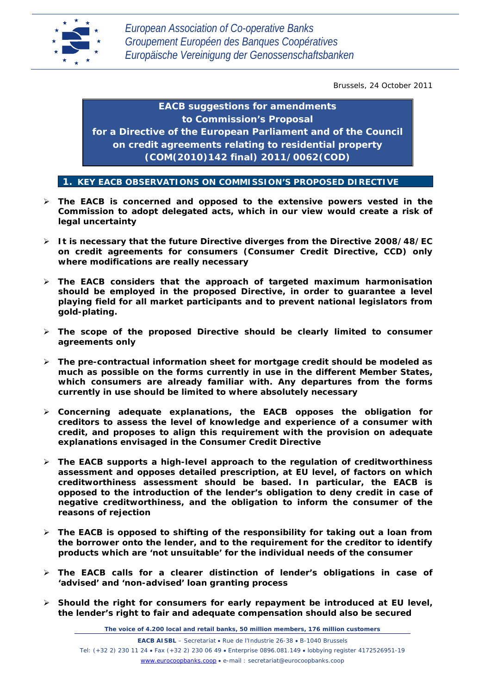

Brussels, 24 October 2011

*EACB suggestions for amendments to Commission's Proposal for a Directive of the European Parliament and of the Council on credit agreements relating to residential property (COM(2010)142 final) 2011/0062(COD)*

**1. KEY EACB OBSERVATIONS ON COMMISSION'S PROPOSED DIRECTIVE**

- **The EACB is concerned and opposed to the extensive powers vested in the Commission to adopt delegated acts, which in our view would create a risk of legal uncertainty**
- **It is necessary that the future Directive diverges from the Directive 2008/48/EC on credit agreements for consumers (Consumer Credit Directive, CCD) only where modifications are really necessary**
- **The EACB considers that the approach of targeted maximum harmonisation should be employed in the proposed Directive, in order to guarantee a level playing field for all market participants and to prevent national legislators from gold-plating.**
- **The scope of the proposed Directive should be clearly limited to consumer agreements only**
- **The pre-contractual information sheet for mortgage credit should be modeled as much as possible on the forms currently in use in the different Member States, which consumers are already familiar with. Any departures from the forms currently in use should be limited to where absolutely necessary**
- **Concerning adequate explanations, the EACB opposes the obligation for creditors to assess the level of knowledge and experience of a consumer with credit, and proposes to align this requirement with the provision on adequate explanations envisaged in the Consumer Credit Directive**
- **The EACB supports a high-level approach to the regulation of creditworthiness assessment and opposes detailed prescription, at EU level, of factors on which creditworthiness assessment should be based. In particular, the EACB is opposed to the introduction of the lender's obligation to deny credit in case of negative creditworthiness, and the obligation to inform the consumer of the reasons of rejection**
- **The EACB is opposed to shifting of the responsibility for taking out a loan from the borrower onto the lender, and to the requirement for the creditor to identify products which are 'not unsuitable' for the individual needs of the consumer**
- **The EACB calls for a clearer distinction of lender's obligations in case of 'advised' and 'non-advised' loan granting process**
- **Should the right for consumers for early repayment be introduced at EU level, the lender's right to fair and adequate compensation should also be secured**

*The voice of 4.200 local and retail banks, 50 million members, 176 million customers*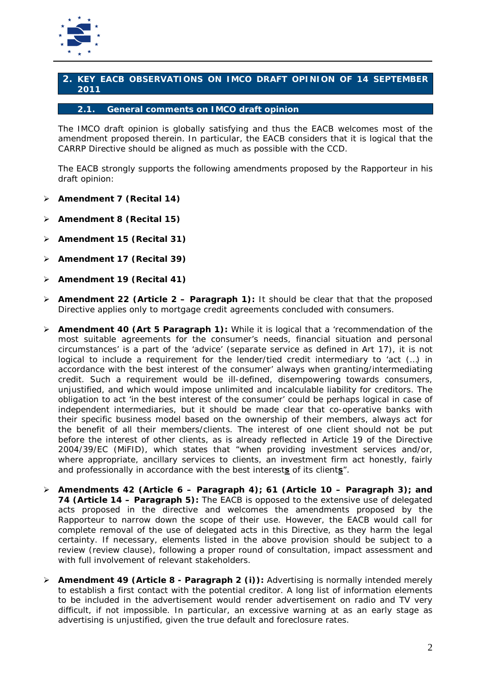

# **2. KEY EACB OBSERVATIONS ON IMCO DRAFT OPINION OF 14 SEPTEMBER 2011**

# **2.1. General comments on IMCO draft opinion**

The IMCO draft opinion is globally satisfying and thus the EACB welcomes most of the amendment proposed therein. In particular, the EACB considers that it is logical that the CARRP Directive should be aligned as much as possible with the CCD.

The EACB strongly supports the following amendments proposed by the Rapporteur in his draft opinion:

- **Amendment 7 (Recital 14)**
- **Amendment 8 (Recital 15)**
- **Amendment 15 (Recital 31)**
- **Amendment 17 (Recital 39)**
- **Amendment 19 (Recital 41)**
- **Amendment 22 (Article 2 – Paragraph 1):** It should be clear that that the proposed Directive applies only to mortgage credit agreements concluded with consumers.
- **Amendment 40 (Art 5 Paragraph 1):** While it is logical that a *'recommendation of the most suitable agreements for the consumer's needs, financial situation and personal circumstances'* is a part of the 'advice' (separate service as defined in Art 17), it is not logical to include a requirement for the lender/tied credit intermediary to *'act (…) in accordance with the best interest of the consumer'* always when granting/intermediating credit. Such a requirement would be ill-defined, disempowering towards consumers, unjustified, and which would impose unlimited and incalculable liability for creditors. The obligation to act 'in the best interest of the consumer' could be perhaps logical in case of independent intermediaries, but it should be made clear that co-operative banks with their specific business model based on the ownership of their members, always act for the benefit of all their members/clients. The interest of one client should not be put before the interest of other clients, as is already reflected in Article 19 of the Directive 2004/39/EC (MiFID), which states that *"when providing investment services and/or, where appropriate, ancillary services to clients, an investment firm act honestly, fairly and professionally in accordance with the best interests of its clients".*
- **Amendments 42 (Article 6 – Paragraph 4); 61 (Article 10 – Paragraph 3); and 74 (Article 14 – Paragraph 5):** The EACB is opposed to the extensive use of delegated acts proposed in the directive and welcomes the amendments proposed by the Rapporteur to narrow down the scope of their use. However, the EACB would call for complete removal of the use of delegated acts in this Directive, as they harm the legal certainty. If necessary, elements listed in the above provision should be subject to a review (review clause), following a proper round of consultation, impact assessment and with full involvement of relevant stakeholders.
- **Amendment 49 (Article 8 - Paragraph 2 (i)):** Advertising is normally intended merely to establish a first contact with the potential creditor. A long list of information elements to be included in the advertisement would render advertisement on radio and TV very difficult, if not impossible. In particular, an excessive warning at as an early stage as advertising is unjustified, given the true default and foreclosure rates.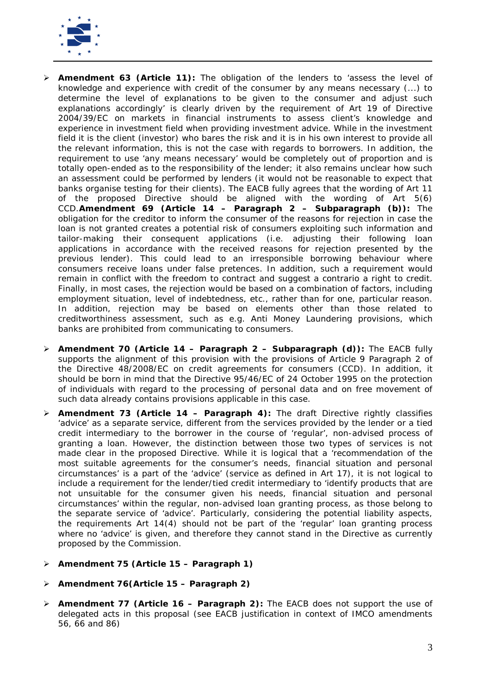

- **Amendment 63 (Article 11):** The obligation of the lenders to *'assess the level of knowledge and experience with credit of the consumer by any means necessary (...) to determine the level of explanations to be given to the consumer and adjust such explanations accordingly'* is clearly driven by the requirement of Art 19 of Directive 2004/39/EC on markets in financial instruments to assess client's knowledge and experience in investment field when providing investment advice. While in the investment field it is the client (investor) who bares the risk and it is in his own interest to provide all the relevant information, this is not the case with regards to borrowers. In addition, the requirement to use 'any means necessary' would be completely out of proportion and is totally open-ended as to the responsibility of the lender; it also remains unclear how such an assessment could be performed by lenders (it would not be reasonable to expect that banks organise testing for their clients). The EACB fully agrees that the wording of Art 11 of the proposed Directive should be aligned with the wording of Art 5(6) CCD.**Amendment 69 (Article 14 – Paragraph 2 – Subparagraph (b)):** The obligation for the creditor to inform the consumer of the reasons for rejection in case the loan is not granted creates a potential risk of consumers exploiting such information and tailor-making their consequent applications (i.e. adjusting their following loan applications in accordance with the received reasons for rejection presented by the previous lender). This could lead to an irresponsible borrowing behaviour where consumers receive loans under false pretences. In addition, such a requirement would remain in conflict with the freedom to contract and suggest *a contrario* a right to credit. Finally, in most cases, the rejection would be based on a combination of factors, including employment situation, level of indebtedness, etc., rather than for one, particular reason. In addition, rejection may be based on elements other than those related to creditworthiness assessment, such as e.g. Anti Money Laundering provisions, which banks are prohibited from communicating to consumers.
- **Amendment 70 (Article 14 – Paragraph 2 – Subparagraph (d)):** The EACB fully supports the alignment of this provision with the provisions of Article 9 Paragraph 2 of the Directive 48/2008/EC on credit agreements for consumers (CCD). In addition, it should be born in mind that the Directive 95/46/EC of 24 October 1995 on the protection of individuals with regard to the processing of personal data and on free movement of such data already contains provisions applicable in this case.
- **Amendment 73 (Article 14 – Paragraph 4):** The draft Directive rightly classifies 'advice' as a separate service, different from the services provided by the lender or a tied credit intermediary to the borrower in the course of 'regular', non-advised process of granting a loan. However, the distinction between those two types of services is not made clear in the proposed Directive. While it is logical that a 'recommendation of the most suitable agreements for the consumer's needs, financial situation and personal circumstances' is a part of the 'advice' (service as defined in Art 17), it is not logical to include a requirement for the lender/tied credit intermediary to 'identify products that are not unsuitable for the consumer given his needs, financial situation and personal circumstances' within the regular, non-advised loan granting process, as those belong to the separate service of 'advice'. Particularly, considering the potential liability aspects, the requirements Art 14(4) should not be part of the 'regular' loan granting process where no 'advice' is given, and therefore they cannot stand in the Directive as currently proposed by the Commission.
- **Amendment 75 (Article 15 – Paragraph 1)**
- **Amendment 76(Article 15 – Paragraph 2)**
- **Amendment 77 (Article 16 – Paragraph 2):** The EACB does not support the use of delegated acts in this proposal (see EACB justification in context of IMCO amendments 56, 66 and 86)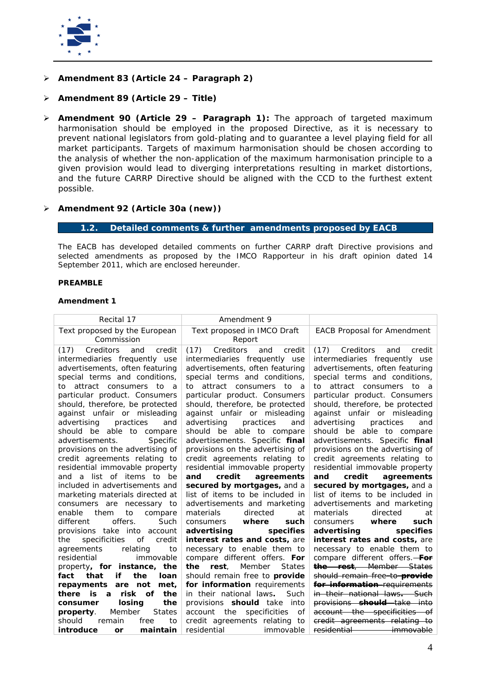

**Amendment 83 (Article 24 – Paragraph 2)**

# **Amendment 89 (Article 29 – Title)**

 **Amendment 90 (Article 29 – Paragraph 1):** The approach of targeted maximum harmonisation should be employed in the proposed Directive, as it is necessary to prevent national legislators from gold-plating and to guarantee a level playing field for all market participants. Targets of maximum harmonisation should be chosen according to the analysis of whether the non-application of the maximum harmonisation principle to a given provision would lead to diverging interpretations resulting in market distortions, and the future CARRP Directive should be aligned with the CCD to the furthest extent possible.

## **Amendment 92 (Article 30a (new))**

# **1.2. Detailed comments & further amendments proposed by EACB**

The EACB has developed detailed comments on further CARRP draft Directive provisions and selected amendments as proposed by the IMCO Rapporteur in his draft opinion dated 14 September 2011, which are enclosed hereunder.

### **PREAMBLE**

| Recital 17                                                       | Amendment 9                                                              |                                                                                        |
|------------------------------------------------------------------|--------------------------------------------------------------------------|----------------------------------------------------------------------------------------|
| Text proposed by the European                                    | Text proposed in IMCO Draft                                              | <b>EACB Proposal for Amendment</b>                                                     |
| Commission                                                       | Report                                                                   |                                                                                        |
| Creditors<br>and<br>credit<br>(17)                               | (17)<br>Creditors<br>credit<br>and                                       | Creditors<br>(17)<br>and<br>credit                                                     |
| intermediaries frequently use                                    | intermediaries frequently use                                            | intermediaries frequently use                                                          |
| advertisements, often featuring                                  | advertisements, often featuring                                          | advertisements, often featuring                                                        |
| special terms and conditions,                                    | special terms and conditions,                                            | special terms and conditions,                                                          |
| attract consumers to a<br>to                                     | attract consumers<br>to<br>to<br>- a                                     | attract consumers to<br>to<br>- a                                                      |
| particular product. Consumers                                    | particular product. Consumers                                            | particular product. Consumers                                                          |
| should, therefore, be protected                                  | should, therefore, be protected                                          | should, therefore, be protected                                                        |
| against unfair or misleading                                     | against unfair or misleading                                             | against unfair or misleading                                                           |
| advertising<br>practices<br>and                                  | advertising<br>practices<br>and                                          | advertising<br>practices<br>and                                                        |
| should be able to compare                                        | should be able to compare                                                | should be able to compare                                                              |
| Specific<br>advertisements.                                      | advertisements. Specific final                                           | advertisements. Specific final                                                         |
| provisions on the advertising of                                 | provisions on the advertising of                                         | provisions on the advertising of                                                       |
| credit agreements relating to                                    | credit agreements relating to                                            | credit agreements relating to                                                          |
| residential immovable property                                   | residential immovable property                                           | residential immovable property                                                         |
|                                                                  |                                                                          |                                                                                        |
| and a list of items to be                                        | credit<br>agreements<br>and                                              | credit<br>agreements<br>and                                                            |
| included in advertisements and                                   | secured by mortgages, and a                                              | secured by mortgages, and a                                                            |
| marketing materials directed at                                  | list of items to be included in                                          | list of items to be included in                                                        |
| consumers are<br>necessary to                                    | advertisements and marketing                                             | advertisements and marketing                                                           |
| enable<br>them<br>to<br>compare                                  | directed<br>materials<br>at                                              | directed<br>materials<br>at                                                            |
| offers.<br>different<br>Such                                     | where<br>such<br>consumers                                               | where<br>consumers<br>such                                                             |
| provisions take into account                                     | specifies<br>advertising                                                 | specifies<br>advertising                                                               |
| specificities<br>οf<br>credit<br>the                             | <i>interest rates and costs, are</i>                                     | interest rates and costs, are                                                          |
| relating<br>agreements<br>to<br>residential                      | necessary to enable them to                                              | necessary to enable them to                                                            |
| immovable                                                        | compare different offers. For<br><b>States</b><br>rest.<br>Member<br>the | compare different offers. For<br>the rest. Member States                               |
| property, for instance, the<br>if<br>that<br>fact<br>the<br>loan | should remain free to <i>provide</i>                                     | should remain free to <b>provide</b>                                                   |
| repayments<br>are not<br>met,                                    | for information requirements                                             | for information requirements                                                           |
| is<br>risk<br>of<br>the<br>there<br>a                            | in their national laws.<br>Such                                          | in their national laws— Such                                                           |
| losing<br>the<br>consumer                                        | provisions <b>should</b> take into                                       | provisions should take into                                                            |
| <b>States</b><br>Member<br>property.                             | account the<br>specificities<br>of                                       | account the specificities of                                                           |
| should<br>remain<br>to<br>free<br>introduce<br>maintain          | credit agreements relating to<br>residential<br>immovable                | credit agreements relating to<br>residential <b>contracts</b><br><del>-immovable</del> |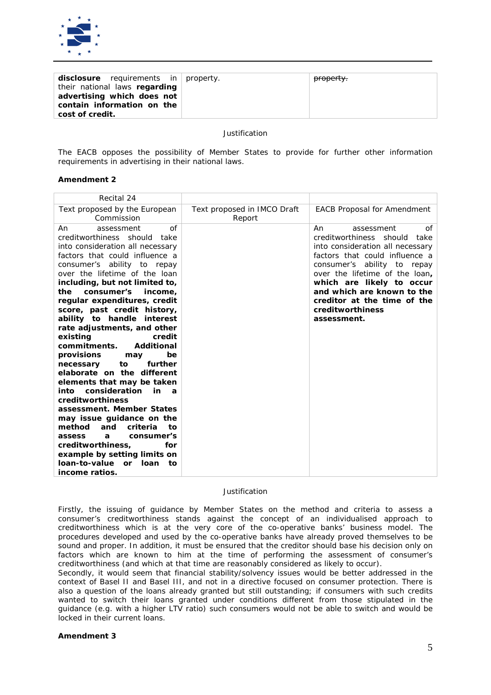

*The EACB opposes the possibility of Member States to provide for further other information requirements in advertising in their national laws.*

### **Amendment 2**

| Recital 24                                                                                                                                                                                                                                                                                                                                                                                                                                                                                                                                                                                                                                                                                                                                                                                                                                                                                          |                                       |                                                                                                                                                                                                                                                                                                                               |
|-----------------------------------------------------------------------------------------------------------------------------------------------------------------------------------------------------------------------------------------------------------------------------------------------------------------------------------------------------------------------------------------------------------------------------------------------------------------------------------------------------------------------------------------------------------------------------------------------------------------------------------------------------------------------------------------------------------------------------------------------------------------------------------------------------------------------------------------------------------------------------------------------------|---------------------------------------|-------------------------------------------------------------------------------------------------------------------------------------------------------------------------------------------------------------------------------------------------------------------------------------------------------------------------------|
| Text proposed by the European<br>Commission                                                                                                                                                                                                                                                                                                                                                                                                                                                                                                                                                                                                                                                                                                                                                                                                                                                         | Text proposed in IMCO Draft<br>Report | <b>EACB Proposal for Amendment</b>                                                                                                                                                                                                                                                                                            |
| of<br>An.<br>assessment<br>creditworthiness should take<br>into consideration all necessary<br>factors that could influence a<br>consumer's ability to repay<br>over the lifetime of the loan<br>including, but not limited to,<br>the<br>consumer's<br>income.<br>regular expenditures, credit<br>score, past credit history,<br>ability to handle interest<br>rate adjustments, and other<br>existing<br>credit<br><b>Additional</b><br>commitments.<br>provisions<br>be<br>may<br>further<br>to<br>necessary<br>elaborate on the different<br>elements that may be taken<br>consideration<br>in<br>into<br>$\boldsymbol{a}$<br>creditworthiness<br>assessment. Member States<br>may issue guidance on the<br>method<br>and<br>criteria<br>tο<br>consumer's<br>assess<br>a<br>creditworthiness,<br>for<br>example by setting limits on<br>loan-to-value<br>or Ioan<br>tο<br><i>income ratios.</i> |                                       | An<br>assessment<br>of<br>creditworthiness should<br>take<br>into consideration all necessary<br>factors that could influence a<br>consumer's ability to repay<br>over the lifetime of the loan,<br>which are likely to occur<br>and which are known to the<br>creditor at the time of the<br>creditworthiness<br>assessment. |

#### *Justification*

*Firstly, the issuing of guidance by Member States on the method and criteria to assess a consumer's creditworthiness stands against the concept of an individualised approach to creditworthiness which is at the very core of the co-operative banks' business model. The procedures developed and used by the co-operative banks have already proved themselves to be sound and proper. In addition, it must be ensured that the creditor should base his decision only on factors which are known to him at the time of performing the assessment of consumer's creditworthiness (and which at that time are reasonably considered as likely to occur).*

*Secondly, it would seem that financial stability/solvency issues would be better addressed in the context of Basel II and Basel III, and not in a directive focused on consumer protection. There is also a question of the loans already granted but still outstanding; if consumers with such credits*  wanted to switch their loans granted under conditions different from those stipulated in the *guidance (e.g. with a higher LTV ratio) such consumers would not be able to switch and would be locked in their current loans.*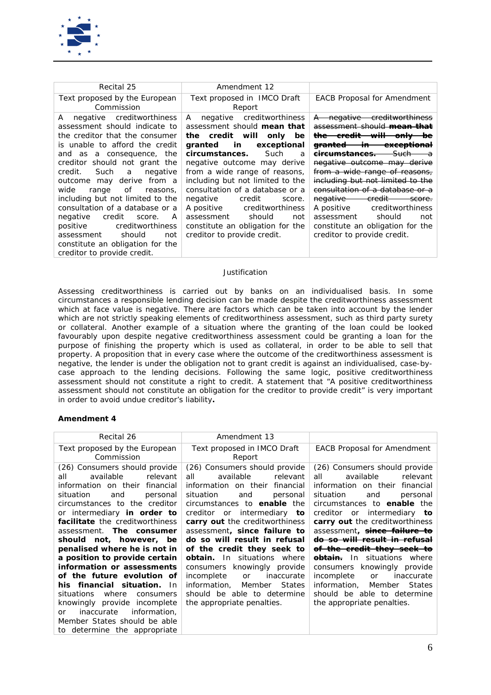

| Recital 25                                                                                                                                                                                                                                                                                                                                                                                                                                                                                                                                       | Amendment 12                                                                                                                                                                                                                                                                                                                                                                                                                                                                 |                                                                                                                                                                                                                                                                                                                                                                                                                                                                                                                                                             |
|--------------------------------------------------------------------------------------------------------------------------------------------------------------------------------------------------------------------------------------------------------------------------------------------------------------------------------------------------------------------------------------------------------------------------------------------------------------------------------------------------------------------------------------------------|------------------------------------------------------------------------------------------------------------------------------------------------------------------------------------------------------------------------------------------------------------------------------------------------------------------------------------------------------------------------------------------------------------------------------------------------------------------------------|-------------------------------------------------------------------------------------------------------------------------------------------------------------------------------------------------------------------------------------------------------------------------------------------------------------------------------------------------------------------------------------------------------------------------------------------------------------------------------------------------------------------------------------------------------------|
| Text proposed by the European<br>Commission                                                                                                                                                                                                                                                                                                                                                                                                                                                                                                      | Text proposed in IMCO Draft<br>Report                                                                                                                                                                                                                                                                                                                                                                                                                                        | <b>EACB Proposal for Amendment</b>                                                                                                                                                                                                                                                                                                                                                                                                                                                                                                                          |
| negative creditworthiness<br>A<br>assessment should indicate to<br>the creditor that the consumer<br>is unable to afford the credit<br>and as a consequence, the<br>creditor should not grant the<br>Such a<br>credit.<br>negative<br>outcome may derive from a<br>wide<br>of<br>range<br>reasons.<br>including but not limited to the<br>consultation of a database or a<br>negative<br>credit<br>A<br>score.<br>positive<br>creditworthiness<br>should<br>assessment<br>not<br>constitute an obligation for the<br>creditor to provide credit. | negative creditworthiness<br>A<br>assessment should <i>mean that</i><br>the credit will<br>only<br>be<br>in<br>granted<br>exceptional<br>circumstances.<br>Such<br>a<br>negative outcome may derive<br>from a wide range of reasons,<br>including but not limited to the<br>consultation of a database or a<br>negative<br>credit<br>score.<br>A positive creditworthiness<br>should<br>assessment<br>not<br>constitute an obligation for the<br>creditor to provide credit. | negative creditworthiness<br>$\overline{A}$<br>assessment should <i>mean that</i><br>the credit will<br><del>—onlv−</del><br><del>granted</del><br><del>in</del><br><del>exceptional</del><br>-Such<br><del>circumstances.</del><br>negative outcome may derive<br>from a wide range of reasons,<br>including but not limited to the<br>consultation of a database or a<br>negative —<br><del>-credit -</del><br>score.<br>creditworthiness<br>A positive<br>should<br>assessment<br>not<br>constitute an obligation for the<br>creditor to provide credit. |

*Assessing creditworthiness is carried out by banks on an individualised basis. In some circumstances a responsible lending decision can be made despite the creditworthiness assessment*  which at face value is negative. There are factors which can be taken into account by the lender which are not strictly speaking elements of creditworthiness assessment, such as third party surety *or collateral. Another example of a situation where the granting of the loan could be looked*  favourably upon despite negative creditworthiness assessment could be granting a loan for the *purpose of finishing the property which is used as collateral, in order to be able to sell that property. A proposition that in every case where the outcome of the creditworthiness assessment is negative, the lender is under the obligation not to grant credit is against an individualised, case-bycase approach to the lending decisions. Following the same logic, positive creditworthiness assessment should not constitute a right to credit. A statement that "A positive creditworthiness assessment should not constitute an obligation for the creditor to provide credit" is very important in order to avoid undue creditor's liability.* 

| Recital 26                                                                                                                                                                                                                                                                                                                                                                                                                                                                                                                                                                                                                                                       | Amendment 13                                                                                                                                                                                                                                                                                                                                                                                                                                                                                                                                                         |                                                                                                                                                                                                                                                                                                                                                                                                                                                                                                                                                                  |
|------------------------------------------------------------------------------------------------------------------------------------------------------------------------------------------------------------------------------------------------------------------------------------------------------------------------------------------------------------------------------------------------------------------------------------------------------------------------------------------------------------------------------------------------------------------------------------------------------------------------------------------------------------------|----------------------------------------------------------------------------------------------------------------------------------------------------------------------------------------------------------------------------------------------------------------------------------------------------------------------------------------------------------------------------------------------------------------------------------------------------------------------------------------------------------------------------------------------------------------------|------------------------------------------------------------------------------------------------------------------------------------------------------------------------------------------------------------------------------------------------------------------------------------------------------------------------------------------------------------------------------------------------------------------------------------------------------------------------------------------------------------------------------------------------------------------|
| Text proposed by the European                                                                                                                                                                                                                                                                                                                                                                                                                                                                                                                                                                                                                                    | Text proposed in IMCO Draft                                                                                                                                                                                                                                                                                                                                                                                                                                                                                                                                          | <b>EACB Proposal for Amendment</b>                                                                                                                                                                                                                                                                                                                                                                                                                                                                                                                               |
| Commission<br>(26) Consumers should provide<br>available<br>all<br>relevant<br>information on their financial<br>situation<br>and<br>personal<br>circumstances to the creditor<br>or intermediary <i>in order to</i><br><i>facilitate</i> the creditworthiness<br>The consumer<br>assessment.<br>should not, however, be<br>penalised where he is not in<br>a position to provide certain<br>information or assessments<br>of the future evolution of<br>his financial situation.<br>-In<br>situations<br>where<br>consumers<br>knowingly provide incomplete<br>information,<br>inaccurate<br>or<br>Member States should be able<br>to determine the appropriate | Report<br>(26) Consumers should provide<br>available<br>all<br>relevant<br>information on their financial<br>situation<br>and<br>personal<br>circumstances to <b>enable</b> the<br>creditor or intermediary<br>to<br>carry out the creditworthiness<br>assessment, since failure to<br>do so will result in refusal<br>of the credit they seek to<br><b><i>obtain</i></b> . In situations where<br>knowingly provide<br>consumers<br>incomplete<br>inaccurate<br>or<br>Member<br>States<br>information.<br>should be able to determine<br>the appropriate penalties. | (26) Consumers should provide<br>available<br>relevant<br>all<br>information on their<br>financial<br>situation<br>and<br>personal<br>circumstances to <b>enable</b> the<br>creditor or intermediary<br>to<br>carry out the creditworthiness<br>assessment, <i>since failure to</i><br>do so will result in refusal<br>of the credit they seek to<br><b>obtain.</b> In situations where<br>consumers knowingly provide<br>incomplete<br>inaccurate<br>or<br>Member<br><b>States</b><br>information.<br>should be able to determine<br>the appropriate penalties. |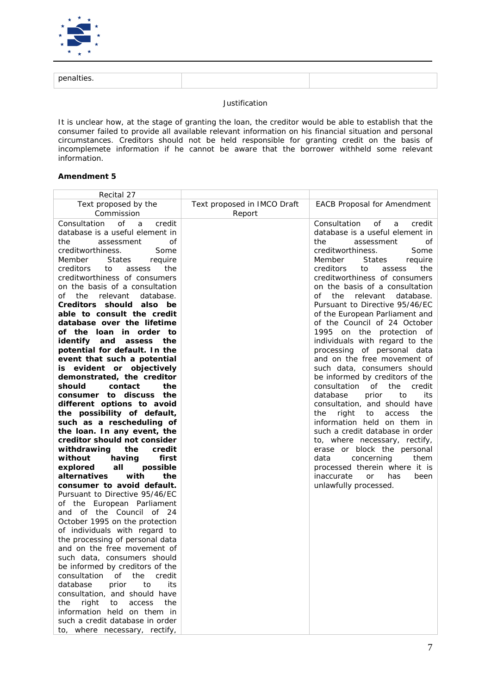

| oenalties. |  |
|------------|--|

*It is unclear how, at the stage of granting the loan, the creditor would be able to establish that the consumer failed to provide all available relevant information on his financial situation and personal circumstances. Creditors should not be held responsible for granting credit on the basis of incomplemete information if he cannot be aware that the borrower withheld some relevant information.*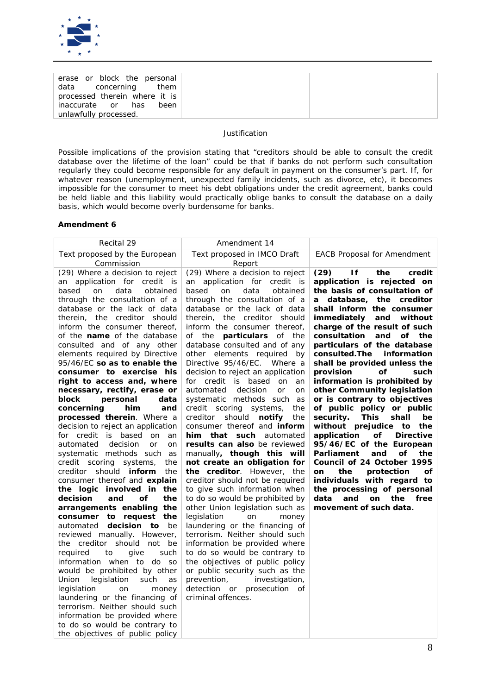

| erase or block the personal   |      |
|-------------------------------|------|
| data concerning them          |      |
| processed therein where it is |      |
| inaccurate or has             | been |
| unlawfully processed.         |      |

*Possible implications of the provision stating that "creditors should be able to consult the credit database over the lifetime of the loan" could be that if banks do not perform such consultation regularly they could become responsible for any default in payment on the consumer's part. If, for whatever reason (unemployment, unexpected family incidents, such as divorce, etc), it becomes impossible for the consumer to meet his debt obligations under the credit agreement, banks could be held liable and this liability would practically oblige banks to consult the database on a daily basis, which would become overly burdensome for banks.*

| Recital 29                               | Amendment 14                       |                                         |
|------------------------------------------|------------------------------------|-----------------------------------------|
| Text proposed by the European            | Text proposed in IMCO Draft        | <b>EACB Proposal for Amendment</b>      |
| Commission                               | Report                             |                                         |
| (29) Where a decision to reject          | (29) Where a decision to reject    | (29)<br>If<br>the<br>credit             |
| an application for credit is             | an application for credit is       | application is rejected on              |
| on<br>data<br>obtained<br>based          | based<br>data<br>obtained<br>on    | the basis of consultation of            |
| through the consultation of a            | through the consultation of a      | a database, the creditor                |
| database or the lack of data             | database or the lack of data       | shall inform the consumer               |
| therein, the creditor should             | therein, the creditor should       | immediately and without                 |
| inform the consumer thereof,             | inform the consumer thereof,       | charge of the result of such            |
| of the <i>name</i> of the database       | of the <b>particulars</b> of the   | consultation<br>and of the              |
| consulted and of any other               | database consulted and of any      | particulars of the database             |
| elements required by Directive           | other elements required<br>by      | consulted. The information              |
| 95/46/EC so as to enable the             | Directive 95/46/EC. Where a        | shall be provided unless the            |
| consumer to exercise his                 | decision to reject an application  | of<br>provision<br>such                 |
| right to access and, where               | for credit is based on<br>an       | information is prohibited by            |
| necessary, rectify, erase or             | automated decision<br>or<br>on     | other Community legislation             |
| block<br>personal<br>data                | systematic methods such as         | or is contrary to objectives            |
| concerning<br>him<br>and                 | credit scoring systems,<br>the     | of public policy or public              |
| processed therein. Where a               | creditor should notify<br>the      | security.<br>This<br>shall<br>be        |
| decision to reject an application        | consumer thereof and <i>inform</i> | without prejudice to<br>the             |
| for credit is based on<br>an             | him that such automated            | application<br>of _<br><b>Directive</b> |
| automated<br>decision<br><b>or</b><br>on | results can also be reviewed       | 95/46/EC of the European                |
| systematic methods such as               | manually, though this will         | οf<br>the<br>Parliament<br>and          |
| credit scoring systems,<br>the           | not create an obligation for       | Council of 24 October 1995              |
| creditor should <i>inform</i><br>the     | the creditor. However, the         | the<br>protection<br><b>on</b><br>οf    |
| consumer thereof and explain             | creditor should not be required    | individuals with regard to              |
| the logic involved in the                | to give such information when      | the processing of personal              |
| decision<br><b>of</b><br>the<br>and      | to do so would be prohibited by    | data and on<br>the free                 |
| arrangements enabling the                | other Union legislation such as    | movement of such data.                  |
| consumer to request the                  | legislation<br>on<br>money         |                                         |
| automated <b>decision to</b><br>be       | laundering or the financing of     |                                         |
| reviewed manually. However,              | terrorism. Neither should such     |                                         |
| the creditor should not be               | information be provided where      |                                         |
| required<br>give<br>to<br>such           | to do so would be contrary to      |                                         |
| information when to do<br><b>SO</b>      | the objectives of public policy    |                                         |
| would be prohibited by other             | or public security such as the     |                                         |
| legislation<br>Union<br>such<br>as       | prevention, investigation,         |                                         |
| legislation<br>on<br>money               | detection or prosecution of        |                                         |
| laundering or the financing of           | criminal offences.                 |                                         |
| terrorism. Neither should such           |                                    |                                         |
| information be provided where            |                                    |                                         |
| to do so would be contrary to            |                                    |                                         |
| the objectives of public policy          |                                    |                                         |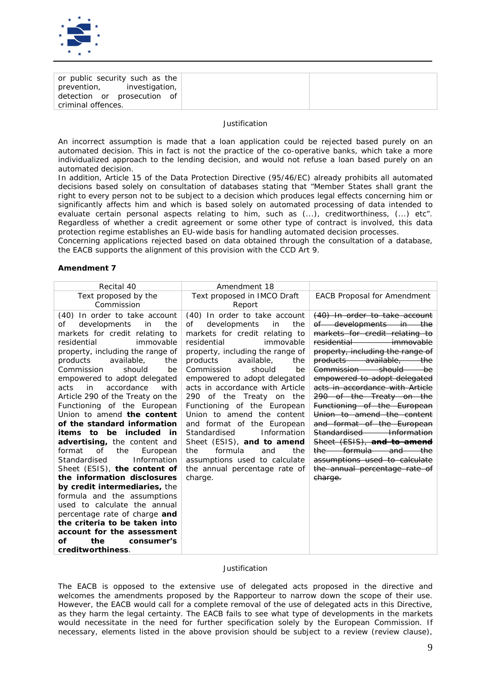

| or public security such as the                            |  |
|-----------------------------------------------------------|--|
| prevention, investigation,<br>detection or prosecution of |  |
| criminal offences.                                        |  |

*An incorrect assumption is made that a loan application could be rejected based purely on an automated decision. This in fact is not the practice of the co-operative banks, which take a more*  individualized approach to the lending decision, and would not refuse a loan based purely on an *automated decision.*

*In addition, Article 15 of the Data Protection Directive (95/46/EC) already prohibits all automated decisions based solely on consultation of databases stating that "Member States shall grant the right to every person not to be subject to a decision which produces legal effects concerning him or significantly affects him and which is based solely on automated processing of data intended to evaluate certain personal aspects relating to him, such as (...), creditworthiness, (...) etc". Regardless of whether a credit agreement or some other type of contract is involved, this data protection regime establishes an EU-wide basis for handling automated decision processes.* 

*Concerning applications rejected based on data obtained through the consultation of a database, the EACB supports the alignment of this provision with the CCD Art 9.* 

### **Amendment 7**

| Recital 40                                                                                                                                                                                                                                                                                                                                                                                                                                                                                                                                                                                                                                                                                                                                                                                                                                                                                      | Amendment 18                                                                                                                                                                                                                                                                                                                                                                                                                                                                                                                                                                                          |                                                                                                                                                                                                                                                                                                                                                                                                                                                                                                                                                                                                       |
|-------------------------------------------------------------------------------------------------------------------------------------------------------------------------------------------------------------------------------------------------------------------------------------------------------------------------------------------------------------------------------------------------------------------------------------------------------------------------------------------------------------------------------------------------------------------------------------------------------------------------------------------------------------------------------------------------------------------------------------------------------------------------------------------------------------------------------------------------------------------------------------------------|-------------------------------------------------------------------------------------------------------------------------------------------------------------------------------------------------------------------------------------------------------------------------------------------------------------------------------------------------------------------------------------------------------------------------------------------------------------------------------------------------------------------------------------------------------------------------------------------------------|-------------------------------------------------------------------------------------------------------------------------------------------------------------------------------------------------------------------------------------------------------------------------------------------------------------------------------------------------------------------------------------------------------------------------------------------------------------------------------------------------------------------------------------------------------------------------------------------------------|
| Text proposed by the                                                                                                                                                                                                                                                                                                                                                                                                                                                                                                                                                                                                                                                                                                                                                                                                                                                                            | Text proposed in IMCO Draft                                                                                                                                                                                                                                                                                                                                                                                                                                                                                                                                                                           | <b>EACB Proposal for Amendment</b>                                                                                                                                                                                                                                                                                                                                                                                                                                                                                                                                                                    |
| Commission                                                                                                                                                                                                                                                                                                                                                                                                                                                                                                                                                                                                                                                                                                                                                                                                                                                                                      | Report                                                                                                                                                                                                                                                                                                                                                                                                                                                                                                                                                                                                |                                                                                                                                                                                                                                                                                                                                                                                                                                                                                                                                                                                                       |
| (40) In order to take account<br>developments<br>Οf<br>in<br>the<br>markets for credit relating to<br>residential<br>immovable<br>property, including the range of<br>available,<br>products<br>the<br>Commission<br>should<br>be<br>empowered to adopt delegated<br>in<br>accordance<br>with<br>acts<br>Article 290 of the Treaty on the<br>Functioning of the European<br>Union to amend the content<br>of the standard information<br><i>items to be included in</i><br>advertising, the content and<br><b>of</b><br>format<br>the<br>European<br>Standardised<br>Information<br>Sheet (ESIS), the content of<br>the information disclosures<br>by credit intermediaries, the<br>formula and the assumptions<br>used to calculate the annual<br>percentage rate of charge and<br>the criteria to be taken into<br>account for the assessment<br>оf<br>the<br>consumer's<br>creditworthiness. | (40) In order to take account<br>οf<br>developments<br>in<br>the<br>markets for credit relating to<br>immovable<br>residential<br>property, including the range of<br>products<br>available,<br>the<br>Commission<br>should<br>be<br>empowered to adopt delegated<br>acts in accordance with Article<br>290 of the Treaty on the<br>Functioning of the European<br>Union to amend the content<br>and format of the European<br>Information<br>Standardised<br>Sheet (ESIS), and to amend<br>formula<br>and<br>the<br>the<br>assumptions used to calculate<br>the annual percentage rate of<br>charge. | (40) In order to take account<br>of developments in the<br>markets for credit relating to<br>residential<br><i>immovable</i><br>property, including the range of<br>products available, the<br>Commission should<br><del>–he</del><br>empowered to adopt delegated<br>acts in accordance with Article<br>290 of the Treaty on the<br>Functioning of the European<br>Union to amend the content<br>and format of the European<br>Standardised Information<br>Sheet (ESIS), and to amend<br>the formula and the<br>assumptions used to calculate<br>the annual percentage rate of<br><del>charge.</del> |

### *Justification*

*The EACB is opposed to the extensive use of delegated acts proposed in the directive and welcomes the amendments proposed by the Rapporteur to narrow down the scope of their use. However, the EACB would call for a complete removal of the use of delegated acts in this Directive, as they harm the legal certainty. The EACB fails to see what type of developments in the markets would necessitate in the need for further specification solely by the European Commission. If necessary, elements listed in the above provision should be subject to a review (review clause),*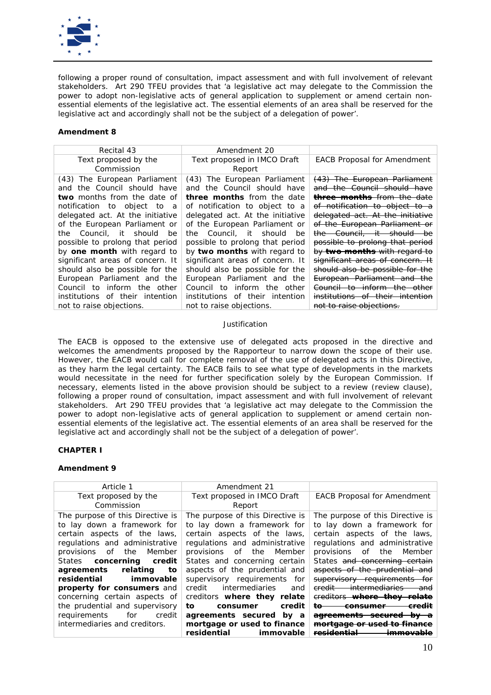

following a proper round of consultation, impact assessment and with full involvement of relevant *stakeholders. Art 290 TFEU provides that 'a legislative act may delegate to the Commission the power to adopt non-legislative acts of general application to supplement or amend certain non*essential elements of the legislative act. The essential elements of an area shall be reserved for the legislative act and accordingly shall not be the subject of a delegation of power'.

## **Amendment 8**

| Amendment 20                      |                                    |
|-----------------------------------|------------------------------------|
| Text proposed in IMCO Draft       | <b>EACB Proposal for Amendment</b> |
| Report                            |                                    |
| (43) The European Parliament      | (43) The European Parliament       |
| and the Council should have       | and the Council should have        |
| <b>three months</b> from the date | three months from the date         |
| of notification to object to a    | of notification to object to a     |
| delegated act. At the initiative  | delegated act. At the initiative   |
| of the European Parliament or     | of the European Parliament or      |
| the Council, it should be         | the Council, it should be          |
| possible to prolong that period   | possible to prolong that period    |
| by two months with regard to      | by two months with regard to       |
| significant areas of concern. It  | significant areas of concern. It   |
| should also be possible for the   | should also be possible for the    |
| European Parliament and the       | European Parliament and the        |
| Council to inform the other       | Council to inform the other        |
| institutions of their intention   | institutions of their intention    |
| not to raise objections.          | not to raise objections.           |
|                                   |                                    |

## *Justification*

*The EACB is opposed to the extensive use of delegated acts proposed in the directive and welcomes the amendments proposed by the Rapporteur to narrow down the scope of their use. However, the EACB would call for complete removal of the use of delegated acts in this Directive, as they harm the legal certainty. The EACB fails to see what type of developments in the markets would necessitate in the need for further specification solely by the European Commission. If necessary, elements listed in the above provision should be subject to a review (review clause), following a proper round of consultation, impact assessment and with full involvement of relevant stakeholders. Art 290 TFEU provides that 'a legislative act may delegate to the Commission the power to adopt non-legislative acts of general application to supplement or amend certain nonessential elements of the legislative act. The essential elements of an area shall be reserved for the*  legislative act and accordingly shall not be the subject of a delegation of power'.

## **CHAPTER I**

| Article 1                        | Amendment 21                     |                                                       |
|----------------------------------|----------------------------------|-------------------------------------------------------|
| Text proposed by the             | Text proposed in IMCO Draft      | <b>EACB Proposal for Amendment</b>                    |
| Commission                       | Report                           |                                                       |
| The purpose of this Directive is | The purpose of this Directive is | The purpose of this Directive is                      |
| to lay down a framework for      | to lay down a framework for      | to lay down a framework for                           |
| certain aspects of the laws,     | certain aspects of the laws,     | certain aspects of the laws,                          |
| regulations and administrative   | regulations and administrative   | regulations and administrative                        |
| provisions of the<br>Member      | provisions of the Member         | the<br>provisions of<br>Member                        |
| States concerning<br>credit      | States and concerning certain    | States and concerning certain                         |
| agreements relating<br>to        | aspects of the prudential and    | aspects of the prudential and                         |
| residential<br>immovable         | supervisory requirements for     | supervisory requirements                              |
| property for consumers and       | intermediaries<br>credit<br>and  | <del>intermediaries</del><br><del>credit</del><br>and |
| concerning certain aspects of    | creditors where they relate      | ereditors where they relate                           |
| the prudential and supervisory   | credit<br>tο<br>consumer         | <del>consumer</del><br>ŧθ                             |
| for<br>requirements<br>credit    | agreements secured by a          | agreements secured                                    |
| intermediaries and creditors.    | mortgage or used to finance      | <del>mortgage or used</del>                           |
|                                  | residential<br>immovable         |                                                       |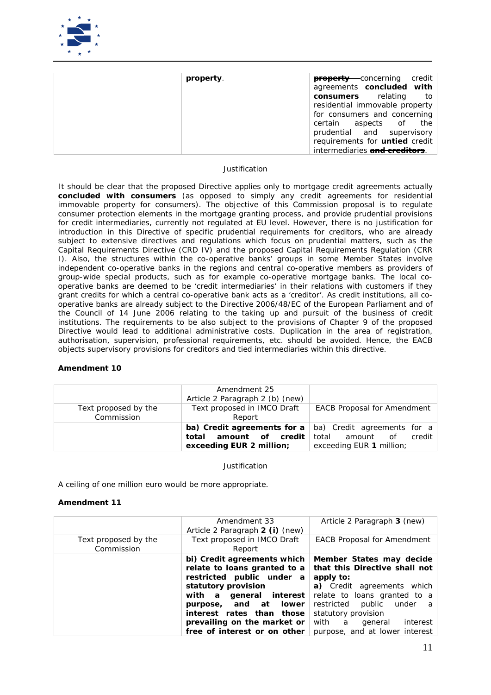

| property. | <b>property</b> concerning credit     |
|-----------|---------------------------------------|
|           | agreements concluded with             |
|           | <b>consumers</b> relating to          |
|           | residential immovable property        |
|           | for consumers and concerning          |
|           | certain aspects of the                |
|           | prudential and supervisory            |
|           | requirements for <i>untied</i> credit |
|           | intermediaries and creditors.         |

It *should be clear that the proposed Directive applies only to mortgage credit agreements actually concluded with consumers (as opposed to simply any credit agreements for residential immovable property for consumers). The objective of this Commission proposal is to regulate consumer protection elements in the mortgage granting process, and provide prudential provisions for credit intermediaries, currently not regulated at EU level. However, there is no justification for introduction in this Directive of specific prudential requirements for creditors, who are already subject to extensive directives and regulations which focus on prudential matters, such as the Capital Requirements Directive (CRD IV) and the proposed Capital Requirements Regulation (CRR I). Also, the structures within the co-operative banks' groups in some Member States involve independent co-operative banks in the regions and central co-operative members as providers of group-wide special products, such as for example co-operative mortgage banks. The local cooperative banks are deemed to be 'credit intermediaries' in their relations with customers if they grant credits for which a central co-operative bank acts as a 'creditor'. As credit institutions, all cooperative banks are already subject to the Directive 2006/48/EC of the European Parliament and of the Council of 14 June 2006 relating to the taking up and pursuit of the business of credit institutions. The requirements to be also subject to the provisions of Chapter 9 of the proposed Directive would lead to additional administrative costs. Duplication in the area of registration, authorisation, supervision, professional requirements, etc. should be avoided. Hence, the EACB objects supervisory provisions for creditors and tied intermediaries within this directive.*

## **Amendment 10**

|                                    | Amendment 25<br>Article 2 Paragraph 2 (b) (new)       |                                                                                                                             |
|------------------------------------|-------------------------------------------------------|-----------------------------------------------------------------------------------------------------------------------------|
| Text proposed by the<br>Commission | Text proposed in IMCO Draft<br>Report                 | <b>EACB Proposal for Amendment</b>                                                                                          |
|                                    | amount of credit<br>total<br>exceeding EUR 2 million; | <b>ba) Credit agreements for a</b> $ $ ba) Credit agreements for a<br>amount of credit<br>total<br>exceeding EUR 1 million; |

*Justification*

*A ceiling of one million euro would be more appropriate.*

|                                    | Amendment 33<br>Article 2 Paragraph 2 (i) (new)                                                                                                                                                                                                                    | Article 2 Paragraph 3 (new)                                                                                                                                                                                                                                          |
|------------------------------------|--------------------------------------------------------------------------------------------------------------------------------------------------------------------------------------------------------------------------------------------------------------------|----------------------------------------------------------------------------------------------------------------------------------------------------------------------------------------------------------------------------------------------------------------------|
| Text proposed by the<br>Commission | Text proposed in IMCO Draft<br>Report                                                                                                                                                                                                                              | <b>EACB Proposal for Amendment</b>                                                                                                                                                                                                                                   |
|                                    | bi) Credit agreements which<br>relate to loans granted to a<br>restricted public under a<br>statutory provision<br>with a general interest<br>and at lower<br>purpose,<br>interest rates than those<br>prevailing on the market or<br>free of interest or on other | Member States may decide<br>that this Directive shall not<br>apply to:<br>a) Credit agreements which<br>relate to loans granted to a<br>restricted<br>public<br>under a<br>statutory provision<br>with<br>interest<br>a<br>qeneral<br>purpose, and at lower interest |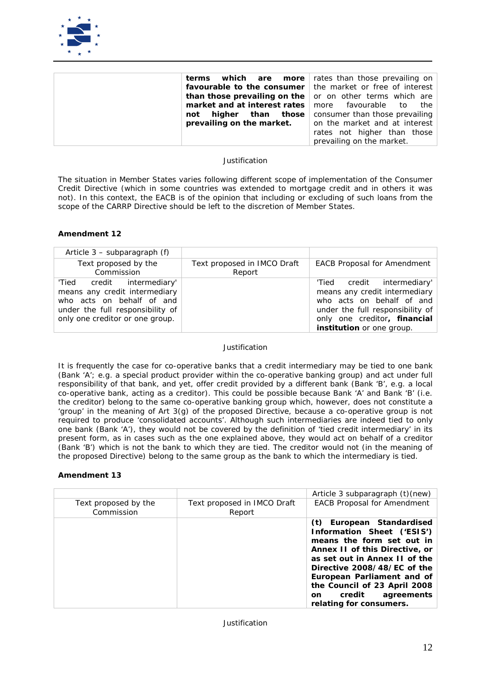

|                                | <b>terms</b> which are more rates than those prevailing on       |
|--------------------------------|------------------------------------------------------------------|
|                                | <b>favourable to the consumer</b> the market or free of interest |
|                                | <b>than those prevailing on the</b> or on other terms which are  |
|                                | <b>market and at interest rates</b> more favourable to the       |
|                                | <b>not higher than those</b> consumer than those prevailing      |
| prevailing on the market. $\ $ | on the market and at interest                                    |
|                                | rates not higher than those                                      |
|                                | prevailing on the market.                                        |

*The situation in Member States varies following different scope of implementation of the Consumer Credit Directive (which in some countries was extended to mortgage credit and in others it was*  not). In this context, the EACB is of the opinion that including or excluding of such loans from the *scope of the CARRP Directive should be left to the discretion of Member States.*

## **Amendment 12**

| Article $3$ – subparagraph (f)                                                                                                                                  |                                       |                                                                                                                                                                                                  |
|-----------------------------------------------------------------------------------------------------------------------------------------------------------------|---------------------------------------|--------------------------------------------------------------------------------------------------------------------------------------------------------------------------------------------------|
| Text proposed by the<br>Commission                                                                                                                              | Text proposed in IMCO Draft<br>Report | <b>EACB Proposal for Amendment</b>                                                                                                                                                               |
| 'Tied credit intermediary'<br>means any credit intermediary<br>who acts on behalf of and<br>under the full responsibility of<br>only one creditor or one group. |                                       | 'Tied credit intermediary'<br>means any credit intermediary<br>who acts on behalf of and<br>under the full responsibility of<br>only one creditor, financial<br><i>institution</i> or one group. |

### *Justification*

*It is frequently the case for co-operative banks that a credit intermediary may be tied to one bank (Bank 'A'; e.g. a special product provider within the co-operative banking group) and act under full responsibility of that bank, and yet, offer credit provided by a different bank (Bank 'B', e.g. a local co-operative bank, acting as a creditor). This could be possible because Bank 'A' and Bank 'B' (i.e. the creditor) belong to the same co-operative banking group which, however, does not constitute a*  'group' in the meaning of Art 3(g) of the proposed Directive, because a co-operative group is not *required to produce 'consolidated accounts'. Although such intermediaries are indeed tied to only one bank (Bank 'A'), they would not be covered by the definition of 'tied credit intermediary' in its present form, as in cases such as the one explained above, they would act on behalf of a creditor (Bank 'B') which is not the bank to which they are tied. The creditor would not (in the meaning of the proposed Directive) belong to the same group as the bank to which the intermediary is tied.* 

## **Amendment 13**

|                                    |                                       | Article 3 subparagraph (t)(new)                                                                                                                                                                                                                                                                            |
|------------------------------------|---------------------------------------|------------------------------------------------------------------------------------------------------------------------------------------------------------------------------------------------------------------------------------------------------------------------------------------------------------|
| Text proposed by the<br>Commission | Text proposed in IMCO Draft<br>Report | <b>EACB Proposal for Amendment</b>                                                                                                                                                                                                                                                                         |
|                                    |                                       | (t) European Standardised<br>Information Sheet ('ESIS')<br>means the form set out in<br>Annex II of this Directive, or<br>as set out in Annex II of the<br>Directive 2008/48/EC of the<br>European Parliament and of<br>the Council of 23 April 2008<br>credit agreements<br>on<br>relating for consumers. |

#### *Justification*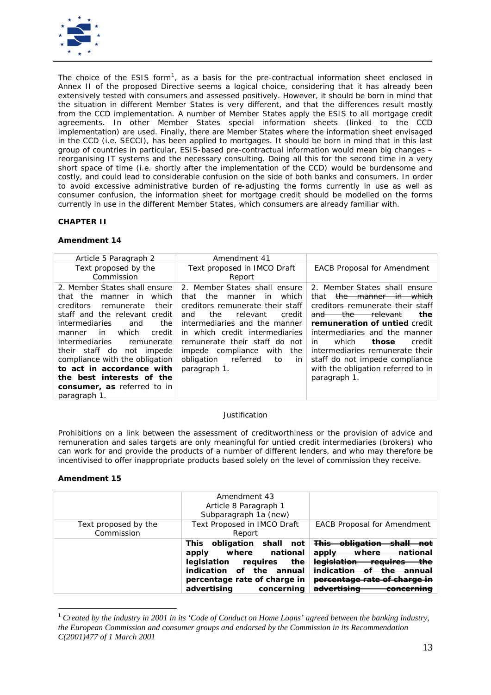

*The choice of the ESIS form[1](#page-12-0) , as a basis for the pre-contractual information sheet enclosed in Annex II of the proposed Directive seems a logical choice, considering that it has already been extensively tested with consumers and assessed positively. However, it should be born in mind that the situation in different Member States is very different, and that the differences result mostly from the CCD implementation. A number of Member States apply the ESIS to all mortgage credit agreements. In other Member States special information sheets (linked to the CCD implementation) are used. Finally, there are Member States where the information sheet envisaged in the CCD (i.e. SECCI), has been applied to mortgages. It should be born in mind that in this last group of countries in particular, ESIS-based pre-contractual information would mean big changes – reorganising IT systems and the necessary consulting. Doing all this for the second time in a very short space of time (i.e. shortly after the implementation of the CCD) would be burdensome and costly, and could lead to considerable confusion on the side of both banks and consumers. In order to avoid excessive administrative burden of re-adjusting the forms currently in use as well as consumer confusion, the information sheet for mortgage credit should be modelled on the forms currently in use in the different Member States, which consumers are already familiar with.* 

## **CHAPTER II**

## **Amendment 14**

| Article 5 Paragraph 2                   | Amendment 41                          |                                       |
|-----------------------------------------|---------------------------------------|---------------------------------------|
| Text proposed by the                    | Text proposed in IMCO Draft           | <b>EACB Proposal for Amendment</b>    |
| Commission                              | Report                                |                                       |
| 2. Member States shall ensure           | 2. Member States shall ensure         | 2. Member States shall ensure         |
| the<br>manner in which<br>that          | the<br>which<br>that<br>manner<br>in. | the manner in which<br>that           |
| <i>creditors</i><br>their<br>remunerate | creditors remunerate their staff      | creditors remunerate their staff      |
| staff and the relevant credit           | relevant<br>the.<br>credit<br>and     | the relevant<br>the<br><del>and</del> |
| intermediaries<br>the<br>and            | intermediaries and the manner         | remuneration of untied credit         |
| which<br>credit<br>in<br>manner         | in which credit intermediaries        | intermediaries and the manner         |
| intermediaries<br>remunerate            | remunerate their staff do not         | in<br>which<br>those<br>credit        |
| their staff do<br>not impede            | compliance<br>impede<br>with<br>the   | intermediaries remunerate their       |
| compliance with the obligation          | obligation<br>referred<br>to<br>in    | staff do not impede compliance        |
| to act in accordance with               | paragraph 1.                          | with the obligation referred to in    |
| the best interests of the               |                                       | paragraph 1.                          |
| consumer, as referred to in             |                                       |                                       |
| paragraph 1.                            |                                       |                                       |

## *Justification*

*Prohibitions on a link between the assessment of creditworthiness or the provision of advice and remuneration and sales targets are only meaningful for untied credit intermediaries (brokers) who can work for and provide the products of a number of different lenders, and who may therefore be incentivised to offer inappropriate products based solely on the level of commission they receive.*

|                                    | Amendment 43<br>Article 8 Paragraph 1<br>Subparagraph 1a (new)                                                                                                                  |                                                                                                                          |
|------------------------------------|---------------------------------------------------------------------------------------------------------------------------------------------------------------------------------|--------------------------------------------------------------------------------------------------------------------------|
| Text proposed by the<br>Commission | Text Proposed in IMCO Draft<br>Report                                                                                                                                           | <b>EACB Proposal for Amendment</b>                                                                                       |
|                                    | This obligation shall not<br>where national<br>apply<br>requires<br>the<br>legislation<br>indication of the<br>annual<br>percentage rate of charge in<br>advertising concerning | <del>This obligation</del><br>not<br><del>apply</del><br><b>legislation</b><br>ŧhe<br><del>reauires</del><br>ممنثهمناممن |

<span id="page-12-0"></span> $1$  Created by the industry in 2001 in its 'Code of Conduct on Home Loans' agreed between the banking industry, *the European Commission and consumer groups and endorsed by the Commission in its Recommendation C(2001)477 of 1 March 2001*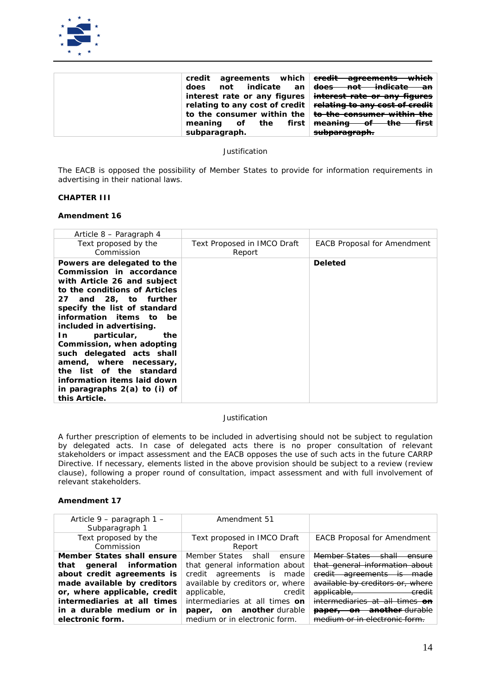

|                | credit agreements which eredit agreements which                          |
|----------------|--------------------------------------------------------------------------|
| does           | not indicate an  <del>does not indicate an</del>                         |
|                | interest rate or any figures   interest rate or any figures              |
|                | relating to any cost of credit   relating to any cost of credit          |
|                | to the consumer within the $\vert$ <del>to the consumer within the</del> |
| meaning of the | first <del>meaning of the first</del>                                    |
| subparagraph.  | <del>subparagraph.</del>                                                 |

*The EACB is opposed the possibility of Member States to provide for information requirements in advertising in their national laws.*

## **CHAPTER III**

#### **Amendment 16**

| Article 8 – Paragraph 4                                                                                                                                                                                                                                                                                                                                                                                                                                                |                                       |                                    |
|------------------------------------------------------------------------------------------------------------------------------------------------------------------------------------------------------------------------------------------------------------------------------------------------------------------------------------------------------------------------------------------------------------------------------------------------------------------------|---------------------------------------|------------------------------------|
| Text proposed by the<br>Commission                                                                                                                                                                                                                                                                                                                                                                                                                                     | Text Proposed in IMCO Draft<br>Report | <b>EACB Proposal for Amendment</b> |
| Powers are delegated to the<br>Commission in accordance<br>with Article 26 and subject<br>to the conditions of Articles<br>27 and 28, to further<br>specify the list of standard<br>information items to be<br>included in advertising.<br>particular,<br>In<br>the<br>Commission, when adopting<br>such delegated acts shall<br>amend, where necessary,<br>the list of the standard<br>information items laid down<br>in paragraphs $2(a)$ to (i) of<br>this Article. |                                       | Deleted                            |

#### *Justification*

*A further prescription of elements to be included in advertising should not be subject to regulation*  by delegated acts. In case of delegated acts there is no proper consultation of relevant *stakeholders or impact assessment and the EACB opposes the use of such acts in the future CARRP Directive. If necessary, elements listed in the above provision should be subject to a review (review clause), following a proper round of consultation, impact assessment and with full involvement of relevant stakeholders.*

| Article 9 – paragraph 1 –<br>Subparagraph 1                                                                                                                                                                                         | Amendment 51                                                                                                                                                                                                                                                        |                                                                                                                                                                                                                                                                     |
|-------------------------------------------------------------------------------------------------------------------------------------------------------------------------------------------------------------------------------------|---------------------------------------------------------------------------------------------------------------------------------------------------------------------------------------------------------------------------------------------------------------------|---------------------------------------------------------------------------------------------------------------------------------------------------------------------------------------------------------------------------------------------------------------------|
| Text proposed by the<br>Commission                                                                                                                                                                                                  | Text proposed in IMCO Draft<br>Report                                                                                                                                                                                                                               | <b>EACB Proposal for Amendment</b>                                                                                                                                                                                                                                  |
| Member States shall ensure<br>that general information<br>about credit agreements is<br>made available by creditors<br>or, where applicable, credit<br>intermediaries at all times<br>in a durable medium or in<br>electronic form. | Member States shall<br>ensure<br>that general information about<br>credit agreements is<br>made<br>available by creditors or, where<br>applicable,<br>credit<br>intermediaries at all times on<br><b>paper, on another</b> durable<br>medium or in electronic form. | Member States<br>chall<br>that general information about<br>saroomonte<br><del>credit</del><br><del>-made</del><br>$\overline{1}$<br>available by creditors or, where<br>applicable,<br><del>credit</del><br><del>paper,</del><br>o<br>medium or in electronic form |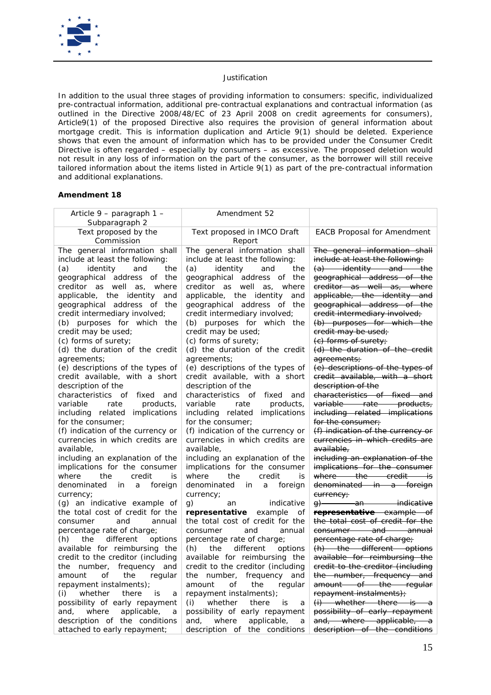

*In addition to the usual three stages of providing information to consumers: specific, individualized pre-contractual information, additional pre-contractual explanations and contractual information (as outlined in the Directive 2008/48/EC of 23 April 2008 on credit agreements for consumers), Article9(1) of the proposed Directive also requires the provision of general information about mortgage credit. This is information duplication and Article 9(1) should be deleted. Experience shows that even the amount of information which has to be provided under the Consumer Credit Directive is often regarded – especially by consumers – as excessive. The proposed deletion would not result in any loss of information on the part of the consumer, as the borrower will still receive tailored information about the items listed in Article 9(1) as part of the pre-contractual information and additional explanations.*

| Article 9 - paragraph 1 -                                                                                                                                                                                                                                                                                                                                                                                                                                                                                                                                                                                                                                                                                                                                                                                                                                                                                                                                                                                                                                                                                              | <i>Amendment 52</i>                                                                                                                                                                                                                                                                                                                                                                                                                                                                                                                                                                                                                                                                                                                                                                                                                                                                                                                                                                                                                                                                        |                                                                                                                                                                                                                                                                                                                                                                                                                                                                                                                                                                                                                                                                                                                                                                                                                                                                                                                                                                                                                                                                                         |
|------------------------------------------------------------------------------------------------------------------------------------------------------------------------------------------------------------------------------------------------------------------------------------------------------------------------------------------------------------------------------------------------------------------------------------------------------------------------------------------------------------------------------------------------------------------------------------------------------------------------------------------------------------------------------------------------------------------------------------------------------------------------------------------------------------------------------------------------------------------------------------------------------------------------------------------------------------------------------------------------------------------------------------------------------------------------------------------------------------------------|--------------------------------------------------------------------------------------------------------------------------------------------------------------------------------------------------------------------------------------------------------------------------------------------------------------------------------------------------------------------------------------------------------------------------------------------------------------------------------------------------------------------------------------------------------------------------------------------------------------------------------------------------------------------------------------------------------------------------------------------------------------------------------------------------------------------------------------------------------------------------------------------------------------------------------------------------------------------------------------------------------------------------------------------------------------------------------------------|-----------------------------------------------------------------------------------------------------------------------------------------------------------------------------------------------------------------------------------------------------------------------------------------------------------------------------------------------------------------------------------------------------------------------------------------------------------------------------------------------------------------------------------------------------------------------------------------------------------------------------------------------------------------------------------------------------------------------------------------------------------------------------------------------------------------------------------------------------------------------------------------------------------------------------------------------------------------------------------------------------------------------------------------------------------------------------------------|
| Subparagraph 2                                                                                                                                                                                                                                                                                                                                                                                                                                                                                                                                                                                                                                                                                                                                                                                                                                                                                                                                                                                                                                                                                                         |                                                                                                                                                                                                                                                                                                                                                                                                                                                                                                                                                                                                                                                                                                                                                                                                                                                                                                                                                                                                                                                                                            |                                                                                                                                                                                                                                                                                                                                                                                                                                                                                                                                                                                                                                                                                                                                                                                                                                                                                                                                                                                                                                                                                         |
| Text proposed by the<br>Commission                                                                                                                                                                                                                                                                                                                                                                                                                                                                                                                                                                                                                                                                                                                                                                                                                                                                                                                                                                                                                                                                                     | Text proposed in IMCO Draft                                                                                                                                                                                                                                                                                                                                                                                                                                                                                                                                                                                                                                                                                                                                                                                                                                                                                                                                                                                                                                                                | <b>EACB Proposal for Amendment</b>                                                                                                                                                                                                                                                                                                                                                                                                                                                                                                                                                                                                                                                                                                                                                                                                                                                                                                                                                                                                                                                      |
| The general information shall<br>include at least the following:<br>(a)<br>identity<br>and<br>the<br>geographical address of the<br>creditor as well as.<br>where<br>applicable, the identity<br>and<br>geographical address of the<br>credit intermediary involved;<br>(b) purposes for which the<br>credit may be used;<br>(c) forms of surety;<br>(d) the duration of the credit<br>agreements;<br>(e) descriptions of the types of<br>credit available, with a short<br>description of the<br>characteristics of<br>fixed<br>and<br>variable<br>products,<br>rate<br>implications<br>including related<br>for the consumer;<br>(f) indication of the currency or<br>currencies in which credits are<br>available,<br>including an explanation of the<br>implications for the consumer<br>where<br>credit<br>the<br>is<br>denominated<br>foreign<br>in<br>a<br>currency;<br>(g) an indicative example of<br>the total cost of credit for the<br>and<br>consumer<br>annual<br>percentage rate of charge;<br>options<br>(h)<br>the<br>different<br>available for reimbursing the<br>credit to the creditor (including | Report<br>The general information shall<br>include at least the following:<br>(a)<br>identity<br>the<br>and<br>geographical address of<br>the<br>creditor as well<br>where<br>as,<br>applicable, the identity<br>and<br>geographical address of the<br>credit intermediary involved;<br>(b) purposes for which the<br>credit may be used;<br>(c) forms of surety;<br>(d) the duration of the credit<br>agreements;<br>(e) descriptions of the types of<br>credit available, with a short<br>description of the<br>characteristics of fixed<br>and<br>variable<br>rate<br>products,<br>including related<br>implications<br>for the consumer;<br>(f) indication of the currency or<br>currencies in which credits are<br>available.<br>including an explanation of the<br>implications for the consumer<br>where<br>credit<br>the<br>is<br>denominated<br>foreign<br>in<br>a<br>currency;<br>g)<br>indicative<br>an<br>representative<br>example<br>οf<br>the total cost of credit for the<br>consumer<br>and<br>annual<br>percentage rate of charge;<br>different<br>(h)<br>the<br>options | The general information shall<br>include at least the following:<br>$(a)$ identity and the<br>geographical address of the<br>creditor as well as, where<br>applicable, the identity and<br>ecographical address of the<br>eredit intermediary involved;<br>(b) purposes for which the<br>eredit may be used;<br>(e) forms of surety;<br>(d) the duration of the credit<br>agreements;<br>(e) descriptions of the types of<br>credit available, with a short<br>description of the<br>characteristics of fixed and<br><del>variable rate</del><br><del>products,</del><br>including related implications<br>for the consumer;<br>(f) indication of the currency or<br>currencies in which credits are<br>available.<br>including an explanation of the<br>implications for the consumer<br>where the credit<br>⊣is<br>denominated in a foreign<br>eurreney;<br>$\theta$<br><del>-an indicative</del><br>representative example of<br>the total cost of credit for the<br>consumer and annual<br>percentage rate of charge;<br>(h) the different options<br>available for reimbursing the |
| the number, frequency and<br>the<br>amount<br>of<br>regular                                                                                                                                                                                                                                                                                                                                                                                                                                                                                                                                                                                                                                                                                                                                                                                                                                                                                                                                                                                                                                                            | available for reimbursing the<br>credit to the creditor (including<br>the number,<br>frequency and                                                                                                                                                                                                                                                                                                                                                                                                                                                                                                                                                                                                                                                                                                                                                                                                                                                                                                                                                                                         | credit to the creditor (including<br>the number, frequency and                                                                                                                                                                                                                                                                                                                                                                                                                                                                                                                                                                                                                                                                                                                                                                                                                                                                                                                                                                                                                          |
| repayment instalments);<br>whether<br>(i)<br>there<br>is<br>a                                                                                                                                                                                                                                                                                                                                                                                                                                                                                                                                                                                                                                                                                                                                                                                                                                                                                                                                                                                                                                                          | amount<br>οf<br>the<br>regular<br>repayment instalments);                                                                                                                                                                                                                                                                                                                                                                                                                                                                                                                                                                                                                                                                                                                                                                                                                                                                                                                                                                                                                                  | amount of the regular<br>repayment instalments);                                                                                                                                                                                                                                                                                                                                                                                                                                                                                                                                                                                                                                                                                                                                                                                                                                                                                                                                                                                                                                        |
| possibility of early repayment<br>applicable,<br>where<br>and,<br>a<br>description of the conditions                                                                                                                                                                                                                                                                                                                                                                                                                                                                                                                                                                                                                                                                                                                                                                                                                                                                                                                                                                                                                   | whether<br>(i)<br>there<br>is<br>a<br>possibility of early repayment<br>and,<br>where<br>applicable,<br>a                                                                                                                                                                                                                                                                                                                                                                                                                                                                                                                                                                                                                                                                                                                                                                                                                                                                                                                                                                                  | $(i)$ whether there is a<br>possibility of early repayment<br>and, where applicable,<br>—a                                                                                                                                                                                                                                                                                                                                                                                                                                                                                                                                                                                                                                                                                                                                                                                                                                                                                                                                                                                              |
| attached to early repayment;                                                                                                                                                                                                                                                                                                                                                                                                                                                                                                                                                                                                                                                                                                                                                                                                                                                                                                                                                                                                                                                                                           | description of the conditions                                                                                                                                                                                                                                                                                                                                                                                                                                                                                                                                                                                                                                                                                                                                                                                                                                                                                                                                                                                                                                                              | description of the conditions                                                                                                                                                                                                                                                                                                                                                                                                                                                                                                                                                                                                                                                                                                                                                                                                                                                                                                                                                                                                                                                           |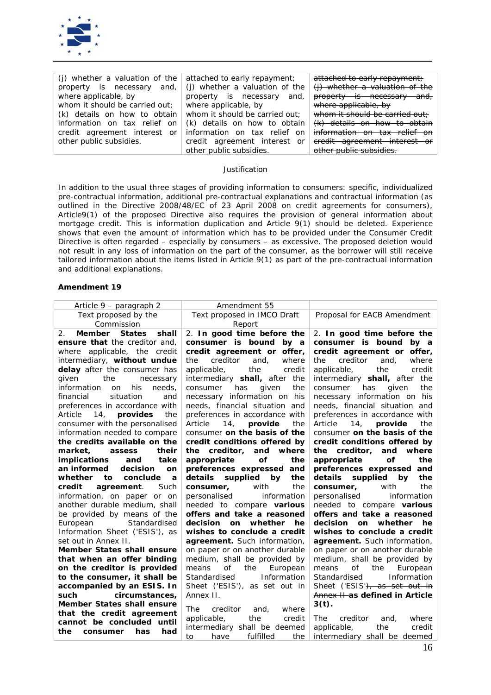

| (j) whether a valuation of the  | attached to early repayment;   | attached to early repayment;   |
|---------------------------------|--------------------------------|--------------------------------|
| property is necessary<br>and.   | (j) whether a valuation of the | (j) whether a valuation of the |
| where applicable, by            | property is necessary<br>and,  | property is necessary and,     |
| whom it should be carried out;  | where applicable, by           | where applicable, by           |
| (k) details on how to obtain    | whom it should be carried out; | whom it should be carried out; |
| information on tax relief on    | (k) details on how to obtain   | (k) details on how to obtain   |
| credit agreement interest<br>or | information on tax relief on   | information on tax relief on   |
| other public subsidies.         | credit agreement interest or   | credit agreement interest or   |
|                                 | other public subsidies.        | other public subsidies.        |

*In addition to the usual three stages of providing information to consumers: specific, individualized pre-contractual information, additional pre-contractual explanations and contractual information (as outlined in the Directive 2008/48/EC of 23 April 2008 on credit agreements for consumers), Article9(1) of the proposed Directive also requires the provision of general information about mortgage credit. This is information duplication and Article 9(1) should be deleted. Experience shows that even the amount of information which has to be provided under the Consumer Credit Directive is often regarded – especially by consumers – as excessive. The proposed deletion would not result in any loss of information on the part of the consumer, as the borrower will still receive tailored information about the items listed in Article 9(1) as part of the pre-contractual information and additional explanations.*

| Article 9 – paragraph 2                                    | Amendment 55                                            |                                                                |  |
|------------------------------------------------------------|---------------------------------------------------------|----------------------------------------------------------------|--|
| Text proposed by the                                       | Text proposed in IMCO Draft                             | Proposal for EACB Amendment                                    |  |
| Commission                                                 | Report                                                  |                                                                |  |
| Member States<br>shall<br>2.                               | 2. In good time before the                              | 2. In good time before the                                     |  |
| ensure that the creditor and.                              | consumer is bound by a                                  | consumer is bound by a                                         |  |
| where applicable, the credit                               | credit agreement or offer,                              | credit agreement or offer,                                     |  |
| intermediary, without undue                                | the<br>creditor<br>and,<br>where                        | creditor<br>and,<br>where<br>the                               |  |
| delay after the consumer has                               | applicable,<br>the<br>credit                            | applicable,<br>the<br>credit                                   |  |
| given<br>the<br>necessary                                  | intermediary <b>shall</b> , after the                   | intermediary <b>shall</b> , after the                          |  |
| his<br>information<br>needs,<br>on                         | the<br>consumer<br>has<br>given                         | has<br>given<br>the<br>consumer                                |  |
| situation<br>financial<br>and                              | necessary information on his                            | necessary information on his                                   |  |
| preferences in accordance with                             | needs, financial situation and                          | needs, financial situation and                                 |  |
| Article<br>14, provides<br>the                             | preferences in accordance with                          | preferences in accordance with                                 |  |
| consumer with the personalised                             | Article<br>14, provide<br>the                           | 14, provide<br>Article<br>the                                  |  |
| information needed to compare                              | consumer on the basis of the                            | consumer on the basis of the                                   |  |
| the credits available on the                               | credit conditions offered by                            | credit conditions offered by                                   |  |
| their<br>market.<br>assess                                 | the creditor, and<br>where                              | the creditor,<br>and<br>where                                  |  |
| take<br><i>implications</i><br>and                         | appropriate<br>οf<br>the                                | appropriate<br>οf<br>the                                       |  |
| an informed<br>decision<br><b>on</b>                       | preferences expressed and                               | preferences expressed and                                      |  |
| whether<br>to<br>conclude<br>$\boldsymbol{a}$              | supplied by<br>details<br>the                           | supplied by<br>details<br>the                                  |  |
| agreement.<br>Such<br>credit                               | with<br>the<br>consumer,                                | with<br>the<br>consumer,                                       |  |
| information, on paper or on                                | information<br>personalised                             | information<br>personalised                                    |  |
| another durable medium, shall                              | needed to compare various<br>offers and take a reasoned | needed to compare various<br>offers and take a reasoned        |  |
| be provided by means of the                                | decision<br>whether                                     | decision<br>whether<br>he                                      |  |
| Standardised<br>European<br>Information Sheet ('ESIS'), as | he<br><b>on</b><br>wishes to conclude a credit          | <b>on</b><br>wishes to conclude a credit                       |  |
| set out in Annex II.                                       | agreement. Such information,                            |                                                                |  |
| <b>Member States shall ensure</b>                          | on paper or on another durable                          | agreement. Such information,<br>on paper or on another durable |  |
| that when an offer binding                                 | medium, shall be provided by                            | medium, shall be provided by                                   |  |
| on the creditor is provided                                | the<br>means<br>of<br>European                          | of<br>the<br>European<br>means                                 |  |
| to the consumer, it shall be                               | Information<br>Standardised                             | Standardised<br>Information                                    |  |
| accompanied by an ESIS. In                                 | Sheet ('ESIS'), as set out in                           | Sheet ('ESIS'), as set out in                                  |  |
| such<br>circumstances,                                     | Annex II.                                               | Annex II as defined in Article                                 |  |
| Member States shall ensure                                 |                                                         | $3(t)$ .                                                       |  |
| that the credit agreement                                  | The<br>creditor<br>and,<br>where                        |                                                                |  |
| cannot be concluded until                                  | applicable,<br>the<br>credit                            | creditor<br>The<br>where<br>and,                               |  |
| has<br>had<br>the<br>consumer                              | intermediary shall be deemed                            | applicable,<br>the<br>credit                                   |  |
|                                                            | fulfilled<br>the<br>have<br>to                          | intermediary shall be deemed                                   |  |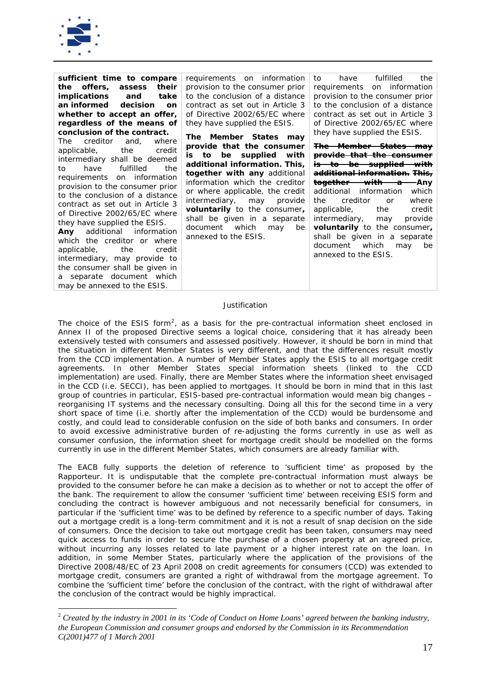

*sufficient time to compare the offers, assess their implications and take an informed decision on whether to accept an offer, regardless of the means of conclusion of the contract.*

The creditor and, where<br>applicable, the credit applicable, the credit intermediary shall be deemed to have fulfilled the requirements on information provision to the consumer prior to the conclusion of a distance contract as set out in Article 3 of Directive 2002/65/EC where they have supplied the ESIS.

*Any* additional information which the creditor or where applicable, the credit intermediary, may provide to the consumer shall be given in a separate document which may be annexed to the ESIS.

requirements on information provision to the consumer prior to the conclusion of a distance contract as set out in Article 3 of Directive 2002/65/EC where they have supplied the ESIS.

*The Member States may provide that the consumer is to be supplied with additional information. This, together with any* additional information which the creditor or where applicable, the credit intermediary, may provide *voluntarily* to the consumer*,* shall be given in a separate document which may be annexed to the ESIS.

to have fulfilled the requirements on information provision to the consumer prior to the conclusion of a distance contract as set out in Article 3 of Directive 2002/65/EC where they have supplied the ESIS.

*The Member States may provide that the consumer is to be supplied with additional information. This, together with a Any*  additional information the creditor or where applicable, the credit<br>intermediary, may provide intermediary, *voluntarily* to the consumer*,* shall be given in a separate document which may be annexed to the ESIS.

## *Justification*

*The choice of the ESIS form[2](#page-16-0) , as a basis for the pre-contractual information sheet enclosed in Annex II of the proposed Directive seems a logical choice, considering that it has already been extensively tested with consumers and assessed positively. However, it should be born in mind that the situation in different Member States is very different, and that the differences result mostly from the CCD implementation. A number of Member States apply the ESIS to all mortgage credit agreements. In other Member States special information sheets (linked to the CCD implementation) are used. Finally, there are Member States where the information sheet envisaged in the CCD (i.e. SECCI), has been applied to mortgages. It should be born in mind that in this last group of countries in particular, ESIS-based pre-contractual information would mean big changes – reorganising IT systems and the necessary consulting. Doing all this for the second time in a very short space of time (i.e. shortly after the implementation of the CCD) would be burdensome and costly, and could lead to considerable confusion on the side of both banks and consumers. In order to avoid excessive administrative burden of re-adjusting the forms currently in use as well as consumer confusion, the information sheet for mortgage credit should be modelled on the forms currently in use in the different Member States, which consumers are already familiar with.* 

*The EACB fully supports the deletion of reference to 'sufficient time' as proposed by the Rapporteur. It is undisputable that the complete pre-contractual information must always be provided to the consumer before he can make a decision as to whether or not to accept the offer of the bank. The requirement to allow the consumer 'sufficient time' between receiving ESIS form and concluding the contract is however ambiguous and not necessarily beneficial for consumers, in particular if the 'sufficient time' was to be defined by reference to a specific number of days. Taking out a mortgage credit is a long-term commitment and it is not a result of snap decision on the side of consumers. Once the decision to take out mortgage credit has been taken, consumers may need quick access to funds in order to secure the purchase of a chosen property at an agreed price, without incurring any losses related to late payment or a higher interest rate on the loan. In addition, in some Member States, particularly where the application of the provisions of the Directive 2008/48/EC of 23 April 2008 on credit agreements for consumers (CCD) was extended to mortgage credit, consumers are granted a right of withdrawal from the mortgage agreement. To combine the 'sufficient time' before the conclusion of the contract, with the right of withdrawal after the conclusion of the contract would be highly impractical.* 

<span id="page-16-0"></span> <sup>2</sup> *Created by the industry in 2001 in its 'Code of Conduct on Home Loans' agreed between the banking industry, the European Commission and consumer groups and endorsed by the Commission in its Recommendation C(2001)477 of 1 March 2001*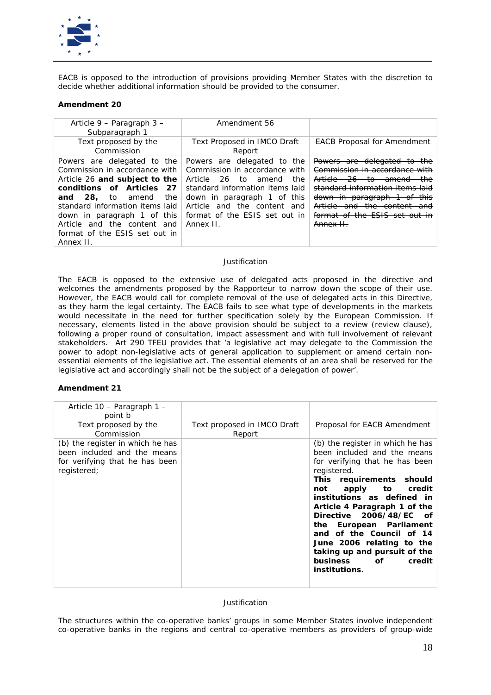

*EACB is opposed to the introduction of provisions providing Member States with the discretion to decide whether additional information should be provided to the consumer.* 

## **Amendment 20**

| Article $9$ – Paragraph $3$ –<br>Subparagraph 1                                                                                                                                                                                                                                                               | Amendment 56                                                                                                                                                                                                                                               |                                                                                                                                                                                                                                           |
|---------------------------------------------------------------------------------------------------------------------------------------------------------------------------------------------------------------------------------------------------------------------------------------------------------------|------------------------------------------------------------------------------------------------------------------------------------------------------------------------------------------------------------------------------------------------------------|-------------------------------------------------------------------------------------------------------------------------------------------------------------------------------------------------------------------------------------------|
| Text proposed by the<br>Commission                                                                                                                                                                                                                                                                            | Text Proposed in IMCO Draft<br>Report                                                                                                                                                                                                                      | <b>EACB Proposal for Amendment</b>                                                                                                                                                                                                        |
| Powers are delegated to the<br>Commission in accordance with<br>Article 26 and subject to the<br>conditions of Articles 27<br>28.<br>the<br>to<br>amend<br>and<br>standard information items laid<br>down in paragraph 1 of this<br>Article and the content and<br>format of the ESIS set out in<br>Annex II. | Powers are delegated to<br>the<br>Commission in accordance with<br>the<br>Article<br>-26-<br>to<br>amend<br>standard information items laid<br>down in paragraph 1 of this<br>Article and the content<br>and<br>format of the ESIS set out in<br>Annex II. | Powers are delegated to the<br>Commission in accordance with<br>Article 26 to amend<br>the-<br>standard information items laid<br>down in paragraph 1 of this<br>Article and the content and<br>format of the FSIS set out in<br>Annex H. |

### *Justification*

*The EACB is opposed to the extensive use of delegated acts proposed in the directive and welcomes the amendments proposed by the Rapporteur to narrow down the scope of their use. However, the EACB would call for complete removal of the use of delegated acts in this Directive, as they harm the legal certainty. The EACB fails to see what type of developments in the markets would necessitate in the need for further specification solely by the European Commission. If necessary, elements listed in the above provision should be subject to a review (review clause),*  following a proper round of consultation, impact assessment and with full involvement of relevant *stakeholders. Art 290 TFEU provides that 'a legislative act may delegate to the Commission the power to adopt non-legislative acts of general application to supplement or amend certain nonessential elements of the legislative act. The essential elements of an area shall be reserved for the*  legislative act and accordingly shall not be the subject of a delegation of power'.

## **Amendment 21**

| Article 10 – Paragraph 1 –<br>point b                                                                            |                                       |                                                                                                                                                                                                                                                                                                                                                                                                                                         |
|------------------------------------------------------------------------------------------------------------------|---------------------------------------|-----------------------------------------------------------------------------------------------------------------------------------------------------------------------------------------------------------------------------------------------------------------------------------------------------------------------------------------------------------------------------------------------------------------------------------------|
| Text proposed by the<br>Commission                                                                               | Text proposed in IMCO Draft<br>Report | Proposal for EACB Amendment                                                                                                                                                                                                                                                                                                                                                                                                             |
| (b) the register in which he has<br>been included and the means<br>for verifying that he has been<br>registered; |                                       | (b) the register in which he has<br>been included and the means<br>for verifying that he has been<br>registered.<br>This requirements should<br>apply to<br>not<br>credit<br>institutions as defined in<br>Article 4 Paragraph 1 of the<br>Directive 2006/48/EC of<br>the European Parliament<br>and of the Council of 14<br>June 2006 relating to the<br>taking up and pursuit of the<br>business of<br>credit<br><i>institutions.</i> |

## *Justification*

*The structures within the co-operative banks' groups in some Member States involve independent co-operative banks in the regions and central co-operative members as providers of group-wide*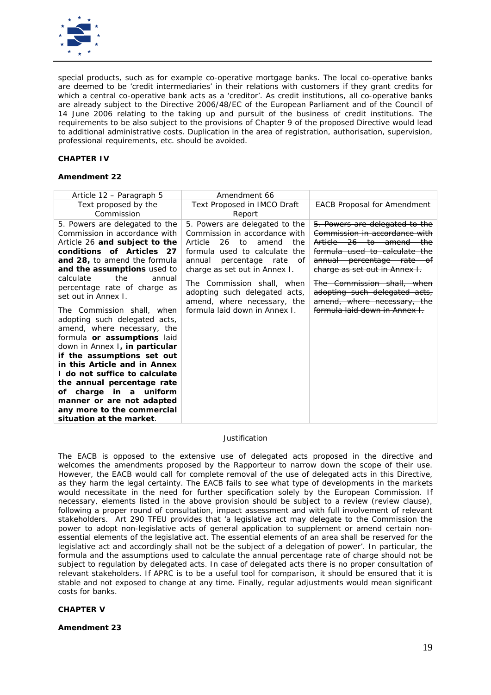

*special products, such as for example co-operative mortgage banks. The local co-operative banks are deemed to be 'credit intermediaries' in their relations with customers if they grant credits for which a central co-operative bank acts as a 'creditor'. As credit institutions, all co-operative banks are already subject to the Directive 2006/48/EC of the European Parliament and of the Council of 14 June 2006 relating to the taking up and pursuit of the business of credit institutions. The requirements to be also subject to the provisions of Chapter 9 of the proposed Directive would lead to additional administrative costs. Duplication in the area of registration, authorisation, supervision, professional requirements, etc. should be avoided.*

## **CHAPTER IV**

### **Amendment 22**

| Article 12 – Paragraph 5                                                                                                                                                                                                                                                                                                                                                                                                                                                                                                                                                                                                                                                                       | Amendment 66                                                                                                                                                                                                                                                                                                                         |                                                                                                                                                                                                                                                                                                                                     |
|------------------------------------------------------------------------------------------------------------------------------------------------------------------------------------------------------------------------------------------------------------------------------------------------------------------------------------------------------------------------------------------------------------------------------------------------------------------------------------------------------------------------------------------------------------------------------------------------------------------------------------------------------------------------------------------------|--------------------------------------------------------------------------------------------------------------------------------------------------------------------------------------------------------------------------------------------------------------------------------------------------------------------------------------|-------------------------------------------------------------------------------------------------------------------------------------------------------------------------------------------------------------------------------------------------------------------------------------------------------------------------------------|
| Text proposed by the<br>Commission                                                                                                                                                                                                                                                                                                                                                                                                                                                                                                                                                                                                                                                             | Text Proposed in IMCO Draft<br>Report                                                                                                                                                                                                                                                                                                | <b>EACB Proposal for Amendment</b>                                                                                                                                                                                                                                                                                                  |
| 5. Powers are delegated to the<br>Commission in accordance with<br>Article 26 and subject to the<br>conditions of Articles 27<br>and 28, to amend the formula<br>and the assumptions used to<br>calculate<br>the<br>annual<br>percentage rate of charge as<br>set out in Annex I.<br>The Commission shall, when<br>adopting such delegated acts,<br>amend, where necessary, the<br>formula or assumptions laid<br>down in Annex I, in particular<br>if the assumptions set out<br>in this Article and in Annex<br>I do not suffice to calculate<br>the annual percentage rate<br>of charge in a uniform<br>manner or are not adapted<br>any more to the commercial<br>situation at the market. | 5. Powers are delegated to the<br>Commission in accordance with<br>Article<br>26 to<br>the<br>amend<br>formula used to calculate the<br>annual percentage rate<br>of<br>charge as set out in Annex I.<br>The Commission shall, when<br>adopting such delegated acts,<br>amend, where necessary, the<br>formula laid down in Annex I. | 5. Powers are delegated to the<br>Commission in accordance with<br>Article 26 to amend the<br>formula used to calculate the<br><del>annual percentage rate of</del><br>charge as set out in Annex I.<br>The Commission shall, when<br>adopting such delegated acts,<br>amend, where necessary, the<br>formula laid down in Annex I. |

## *Justification*

*The EACB is opposed to the extensive use of delegated acts proposed in the directive and welcomes the amendments proposed by the Rapporteur to narrow down the scope of their use. However, the EACB would call for complete removal of the use of delegated acts in this Directive, as they harm the legal certainty. The EACB fails to see what type of developments in the markets would necessitate in the need for further specification solely by the European Commission. If necessary, elements listed in the above provision should be subject to a review (review clause),*  following a proper round of consultation, impact assessment and with full involvement of relevant *stakeholders. Art 290 TFEU provides that 'a legislative act may delegate to the Commission the power to adopt non-legislative acts of general application to supplement or amend certain nonessential elements of the legislative act. The essential elements of an area shall be reserved for the legislative act and accordingly shall not be the subject of a delegation of power'. In particular, the formula and the assumptions used to calculate the annual percentage rate of charge should not be subject to regulation by delegated acts. In case of delegated acts there is no proper consultation of relevant stakeholders. If APRC is to be a useful tool for comparison, it should be ensured that it is stable and not exposed to change at any time. Finally, regular adjustments would mean significant costs for banks.* 

#### **CHAPTER V**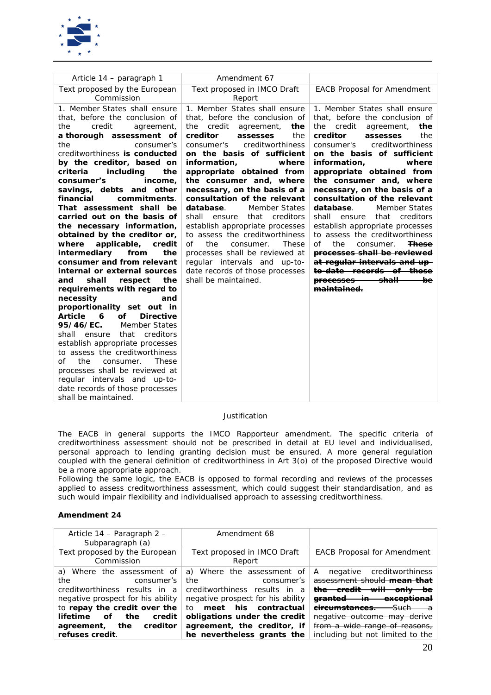

| Article 14 – paragraph 1                        | Amendment 67                         |                                                                              |
|-------------------------------------------------|--------------------------------------|------------------------------------------------------------------------------|
| Text proposed by the European                   | Text proposed in IMCO Draft          | <b>EACB Proposal for Amendment</b>                                           |
| Commission                                      | Report                               |                                                                              |
| 1. Member States shall ensure                   | 1. Member States shall ensure        | 1. Member States shall ensure                                                |
| that, before the conclusion of                  | that, before the conclusion of       | that, before the conclusion of                                               |
| the<br>credit<br>agreement,                     | the<br>credit<br>agreement,<br>the   | credit<br>the<br>the<br>agreement,                                           |
| a thorough assessment of                        | creditor<br>assesses<br>the          | creditor<br>the<br>assesses                                                  |
| the<br>consumer's                               | creditworthiness<br>consumer's       | creditworthiness<br>consumer's                                               |
| creditworthiness is conducted                   | on the basis of sufficient           | on the basis of sufficient                                                   |
| by the creditor, based on                       | information.<br>where                | information.<br>where                                                        |
| criteria<br>including<br>the                    | appropriate obtained from            | appropriate obtained from                                                    |
| consumer's<br>income,                           | the consumer and, where              | the consumer and, where                                                      |
| savings, debts and other                        | necessary, on the basis of a         | necessary, on the basis of a                                                 |
| financial<br>commitments.                       | consultation of the relevant         | consultation of the relevant                                                 |
| That assessment shall be                        | database.<br><b>Member States</b>    | database.<br><b>Member States</b>                                            |
| carried out on the basis of                     | shall<br>that<br>creditors<br>ensure | shall<br>that<br>creditors<br>ensure                                         |
| the necessary information,                      | establish appropriate processes      | establish appropriate processes                                              |
| obtained by the creditor or,                    | to assess the creditworthiness       | to assess the creditworthiness                                               |
| applicable,<br>where<br>credit                  | the<br>Ωf<br>consumer.<br>These      | Ωf<br>the<br>consumer.<br><del>These</del>                                   |
| intermediary<br>from<br>the                     | processes shall be reviewed at       | processes shall be reviewed                                                  |
| consumer and from relevant                      | regular intervals and up-to-         | at regular intervals and up-                                                 |
| internal or external sources                    | date records of those processes      | <del>to-date records of those</del>                                          |
| shall<br>respect<br>the<br>and                  | shall be maintained.                 | <del>shall –</del><br><del>be</del> —<br><del>processes</del><br>maintained. |
| requirements with regard to<br>necessity<br>and |                                      |                                                                              |
| proportionality set out in                      |                                      |                                                                              |
| <b>Article</b><br>οf<br>6<br><b>Directive</b>   |                                      |                                                                              |
| 95/46/EC.<br><b>Member States</b>               |                                      |                                                                              |
| that<br>creditors<br>shall ensure               |                                      |                                                                              |
| establish appropriate processes                 |                                      |                                                                              |
| to assess the creditworthiness                  |                                      |                                                                              |
| These<br>Ωf<br>the<br>consumer.                 |                                      |                                                                              |
| processes shall be reviewed at                  |                                      |                                                                              |
| regular intervals and up-to-                    |                                      |                                                                              |
| date records of those processes                 |                                      |                                                                              |
| shall be maintained.                            |                                      |                                                                              |

*The EACB in general supports the IMCO Rapporteur amendment. The specific criteria of creditworthiness assessment should not be prescribed in detail at EU level and individualised, personal approach to lending granting decision must be ensured. A more general regulation coupled with the general definition of creditworthiness in Art 3(o) of the proposed Directive would be a more appropriate approach.* 

*Following the same logic, the EACB is opposed to formal recording and reviews of the processes applied to assess creditworthiness assessment, which could suggest their standardisation, and as such would impair flexibility and individualised approach to assessing creditworthiness.*

| Article 14 - Paragraph 2 -<br>Subparagraph (a)                                                                                                                                                                               | Amendment 68                                                                                                                                                                                                       |                                                                                                                                                                                                                                    |
|------------------------------------------------------------------------------------------------------------------------------------------------------------------------------------------------------------------------------|--------------------------------------------------------------------------------------------------------------------------------------------------------------------------------------------------------------------|------------------------------------------------------------------------------------------------------------------------------------------------------------------------------------------------------------------------------------|
| Text proposed by the European<br>Commission                                                                                                                                                                                  | Text proposed in IMCO Draft<br>Report                                                                                                                                                                              | <b>EACB Proposal for Amendment</b>                                                                                                                                                                                                 |
| Where the assessment of<br>a)<br>the<br>consumer's<br>creditworthiness results in a<br>negative prospect for his ability<br>to repay the credit over the<br>lifetime<br>credit<br>оf<br>the<br>creditor<br>the<br>agreement, | a) Where the assessment of<br>the<br>consumer's<br>creditworthiness results in a<br>negative prospect for his ability<br>meet his contractual<br>to<br>obligations under the credit<br>agreement, the creditor, if | croditworthippee<br><del>negative</del><br>$\uparrow$<br>assessment shoul<br><del>onl∨</del><br><del>the</del><br>bе<br><del>exceptional</del><br><del>-Such</del><br>negative outcome may derive<br>from a wide range of reasons, |
| refuses credit.                                                                                                                                                                                                              | he nevertheless grants the                                                                                                                                                                                         | including but not limited to the                                                                                                                                                                                                   |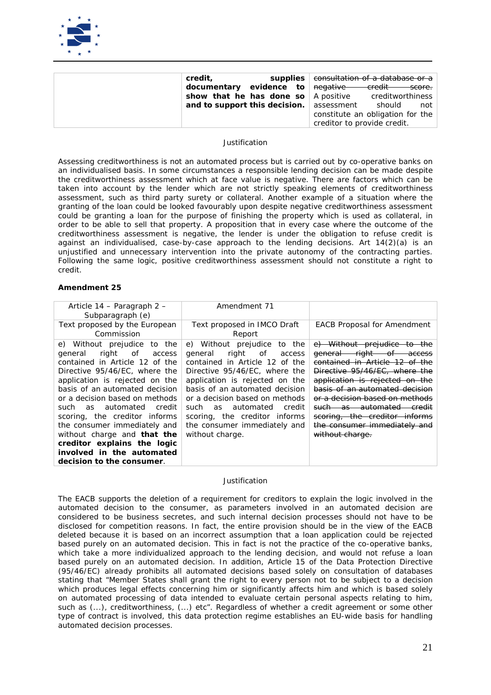

| credit,                                     | supplies | consultation of a database or a  |                     |        |
|---------------------------------------------|----------|----------------------------------|---------------------|--------|
| documentary evidence to negative            |          |                                  | <del>credit -</del> | score. |
| show that he has done so $\vert$ A positive |          |                                  | creditworthiness    |        |
| and to support this decision. assessment    |          |                                  | should              | not    |
|                                             |          | constitute an obligation for the |                     |        |
|                                             |          | creditor to provide credit.      |                     |        |

*Assessing creditworthiness is not an automated process but is carried out by co-operative banks on an individualised basis. In some circumstances a responsible lending decision can be made despite the creditworthiness assessment which at face value is negative. There are factors which can be taken into account by the lender which are not strictly speaking elements of creditworthiness assessment, such as third party surety or collateral. Another example of a situation where the granting of the loan could be looked favourably upon despite negative creditworthiness assessment could be granting a loan for the purpose of finishing the property which is used as collateral, in order to be able to sell that property. A proposition that in every case where the outcome of the creditworthiness assessment is negative, the lender is under the obligation to refuse credit is against an individualised, case-by-case approach to the lending decisions. Art 14(2)(a) is an unjustified and unnecessary intervention into the private autonomy of the contracting parties. Following the same logic, positive creditworthiness assessment should not constitute a right to credit.* 

#### **Amendment 25**

| Article 14 – Paragraph 2 –<br>Subparagraph (e)                                                                                                                                                                                                                                                                                                                                                                                                                                | Amendment 71                                                                                                                                                                                                                                                                                                                                                      |                                                                                                                                                                                                                                                                                                                                                                                                      |
|-------------------------------------------------------------------------------------------------------------------------------------------------------------------------------------------------------------------------------------------------------------------------------------------------------------------------------------------------------------------------------------------------------------------------------------------------------------------------------|-------------------------------------------------------------------------------------------------------------------------------------------------------------------------------------------------------------------------------------------------------------------------------------------------------------------------------------------------------------------|------------------------------------------------------------------------------------------------------------------------------------------------------------------------------------------------------------------------------------------------------------------------------------------------------------------------------------------------------------------------------------------------------|
| Text proposed by the European<br>Commission                                                                                                                                                                                                                                                                                                                                                                                                                                   | Text proposed in IMCO Draft<br>Report                                                                                                                                                                                                                                                                                                                             | <b>EACB Proposal for Amendment</b>                                                                                                                                                                                                                                                                                                                                                                   |
| e) Without prejudice<br>to<br>the<br>right<br>of<br>general<br>access<br>contained in Article 12 of the<br>Directive 95/46/EC, where the<br>application is rejected on the<br>basis of an automated decision<br>or a decision based on methods<br>such as automated<br>credit<br>scoring, the creditor informs<br>the consumer immediately and<br>without charge and <b>that the</b><br>creditor explains the logic<br>involved in the automated<br>decision to the consumer. | e) Without prejudice<br>to<br>the<br>of<br>right<br>general<br>access<br>contained in Article 12 of the<br>Directive 95/46/EC, where the<br>application is rejected on the<br>basis of an automated decision<br>or a decision based on methods<br>such as automated<br>credit<br>scoring, the creditor informs<br>the consumer immediately and<br>without charge. | e) Without prejudice to the<br><del>right of</del><br><del>qeneral</del><br>access<br><del>contained in Article 12 of the</del><br>Directive 95/46/EC, where the<br>application is rejected on the<br>basis of an automated decision<br>or a decision based on methods<br>such as automated<br><del>credit</del><br>scoring, the creditor informs<br>the consumer immediately and<br>without charge. |

#### *Justification*

The EACB supports the deletion of a requirement for creditors to explain the logic involved in the *automated decision to the consumer, as parameters involved in an automated decision are considered to be business secretes, and such internal decision processes should not have to be disclosed for competition reasons. In fact, the entire provision should be in the view of the EACB deleted because it is based on an incorrect assumption that a loan application could be rejected based purely on an automated decision. This in fact is not the practice of the co-operative banks, which take a more individualized approach to the lending decision, and would not refuse a loan based purely on an automated decision. In addition, Article 15 of the Data Protection Directive (95/46/EC) already prohibits all automated decisions based solely on consultation of databases stating that "Member States shall grant the right to every person not to be subject to a decision which produces legal effects concerning him or significantly affects him and which is based solely on automated processing of data intended to evaluate certain personal aspects relating to him, such as (...), creditworthiness, (...) etc". Regardless of whether a credit agreement or some other type of contract is involved, this data protection regime establishes an EU-wide basis for handling automated decision processes.*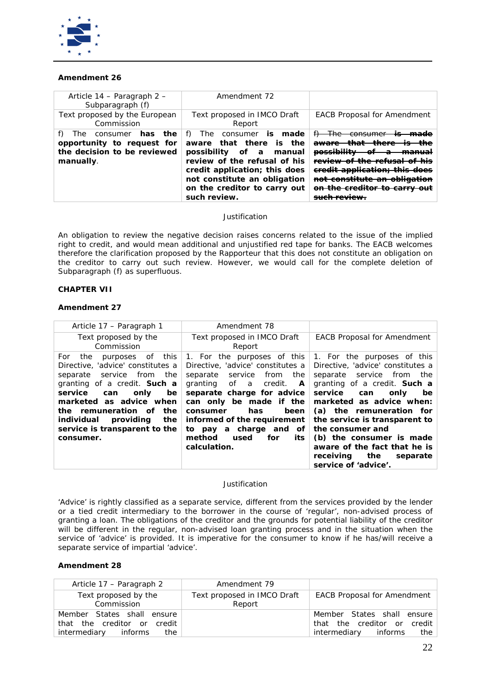

## **Amendment 26**

| Article 14 – Paragraph 2 –<br>Subparagraph (f)                                                           | Amendment 72                                                                                                                                                                                                                                   |                                                                                                                                                                         |
|----------------------------------------------------------------------------------------------------------|------------------------------------------------------------------------------------------------------------------------------------------------------------------------------------------------------------------------------------------------|-------------------------------------------------------------------------------------------------------------------------------------------------------------------------|
| Text proposed by the European<br>Commission                                                              | Text proposed in IMCO Draft<br>Report                                                                                                                                                                                                          | <b>EACB Proposal for Amendment</b>                                                                                                                                      |
| The consumer <i>has</i><br>the<br>opportunity to request for<br>the decision to be reviewed<br>manually. | The consumer <i>is made</i><br>T)<br>aware that there is the<br>possibility<br>of a<br>manual<br>review of the refusal of his<br>credit application; this does<br>not constitute an obligation<br>on the creditor to carry out<br>such review. | <del>The consumer</del><br>H<br>aware<br>possibility<br>FAVIOUL of the refueal<br>eredit application; this does<br>conctituto on obliga<br>on the exaditor to corry out |

## *Justification*

*An obligation to review the negative decision raises concerns related to the issue of the implied right to credit, and would mean additional and unjustified red tape for banks. The EACB welcomes therefore the clarification proposed by the Rapporteur that this does not constitute an obligation on the creditor to carry out such review. However, we would call for the complete deletion of Subparagraph (f) as superfluous.* 

## **CHAPTER VII**

## **Amendment 27**

| Article 17 – Paragraph 1                                                                                                                                                                                                                                                                                               | Amendment 78                                                                                                                                                                                                                                                                                                                         |                                                                                                                                                                                                                                                                                                                                                                                                                |
|------------------------------------------------------------------------------------------------------------------------------------------------------------------------------------------------------------------------------------------------------------------------------------------------------------------------|--------------------------------------------------------------------------------------------------------------------------------------------------------------------------------------------------------------------------------------------------------------------------------------------------------------------------------------|----------------------------------------------------------------------------------------------------------------------------------------------------------------------------------------------------------------------------------------------------------------------------------------------------------------------------------------------------------------------------------------------------------------|
| Text proposed by the<br>Commission                                                                                                                                                                                                                                                                                     | Text proposed in IMCO Draft<br>Report                                                                                                                                                                                                                                                                                                | <b>EACB Proposal for Amendment</b>                                                                                                                                                                                                                                                                                                                                                                             |
| this<br>For<br>purposes of<br>the<br>Directive, 'advice' constitutes a<br>service from<br>the<br>separate<br>granting of a credit. <b>Such a</b><br>service<br>be<br>only<br>can<br>marketed as advice when<br>the remuneration of the<br>providing<br>the<br>individual<br>service is transparent to the<br>consumer. | 1. For the purposes of this<br>Directive, 'advice' constitutes a<br>from<br>separate<br>service<br>the<br>granting of a<br>credit.<br>A<br>separate charge for advice<br>can only be made if the<br>has<br>been<br>consumer<br>informed of the requirement<br>to pay a charge and of<br>method<br>for<br>used<br>its<br>calculation. | 1. For the purposes of this<br>Directive, 'advice' constitutes a<br>service<br>from<br>the<br>separate<br>granting of a credit. <b>Such a</b><br>service<br>only<br>be<br>can<br>marketed as advice when:<br>(a) the remuneration for<br>the service is transparent to<br>the consumer and<br>(b) the consumer is made<br>aware of the fact that he is<br>receiving<br>the<br>separate<br>service of 'advice'. |

#### *Justification*

*'Advice' is rightly classified as a separate service, different from the services provided by the lender or a tied credit intermediary to the borrower in the course of 'regular', non-advised process of granting a loan. The obligations of the creditor and the grounds for potential liability of the creditor will be different in the regular, non-advised loan granting process and in the situation when the service of 'advice' is provided. It is imperative for the consumer to know if he has/will receive a separate service of impartial 'advice'.*

| Article 17 – Paragraph 2    | Amendment 79                |                                    |
|-----------------------------|-----------------------------|------------------------------------|
| Text proposed by the        | Text proposed in IMCO Draft | <b>EACB Proposal for Amendment</b> |
| Commission                  | Report                      |                                    |
| Member States shall ensure  |                             | Member States shall ensure         |
| that the creditor or credit |                             | that the creditor or credit        |
| intermediary informs<br>the |                             | intermediary informs<br>the        |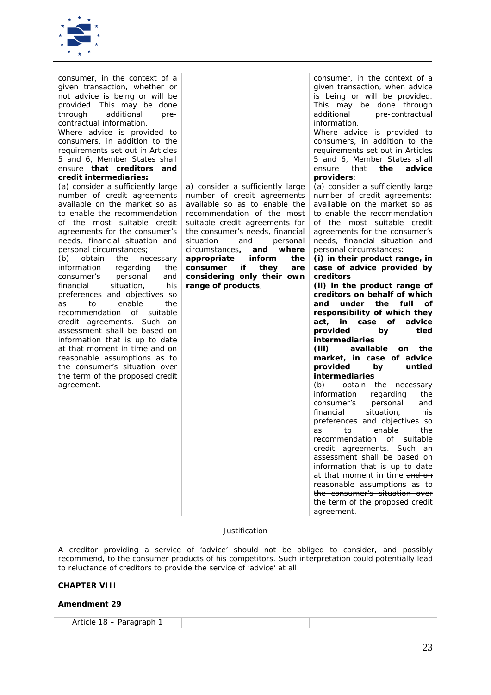

| consumer, in the context of a<br>given transaction, whether or<br>not advice is being or will be<br>provided. This may be done<br>additional<br>through<br>pre-<br>contractual information.<br>Where advice is provided to<br>consumers, in addition to the<br>requirements set out in Articles<br>5 and 6, Member States shall<br>ensure <b>that creditors and</b><br>credit intermediaries:<br>(a) consider a sufficiently large<br>number of credit agreements<br>available on the market so as<br>to enable the recommendation<br>of the most suitable credit<br>agreements for the consumer's<br>needs, financial situation and<br>personal circumstances;<br>obtain<br>(b)<br>the<br>necessary<br>information<br>regarding<br>the<br>personal<br>consumer's<br>and<br>situation,<br>financial<br>his<br>preferences and objectives so<br>enable<br>to<br>the<br>as<br>recommendation<br>of<br>suitable<br>credit agreements. Such an<br>assessment shall be based on<br>information that is up to date<br>at that moment in time and on<br>reasonable assumptions as to<br>the consumer's situation over<br>the term of the proposed credit<br>agreement. | a) consider a sufficiently large<br>number of credit agreements<br>available so as to enable the<br>recommendation of the most<br>suitable credit agreements for<br>the consumer's needs, financial<br>situation<br>and<br>personal<br>where<br>circumstances,<br>and<br>appropriate<br><i>inform</i><br>the<br>consumer<br>if<br>they<br>are<br>considering only their own<br>range of products; | consumer, in the context of a<br>given transaction, when advice<br>is being or will be provided.<br>This may be done through<br>additional<br>pre-contractual<br>information.<br>Where advice is provided to<br>consumers, in addition to the<br>requirements set out in Articles<br>5 and 6, Member States shall<br>that<br>advice<br>the<br>ensure<br>providers:<br>(a) consider a sufficiently large<br>number of credit agreements:<br>available on the market so as<br>to enable the recommendation<br>of the most suitable credit<br>agreements for the consumer's<br>needs, financial situation and<br>personal circumstances:<br>(i) in their product range, in<br>case of advice provided by<br>creditors<br>(ii) in the product range of<br>creditors on behalf of which<br>under<br>the<br>and<br>full<br>οf<br>responsibility of which they<br>in<br>case of<br>advice<br>act,<br>provided<br>tied<br>by<br><i>intermediaries</i><br>available<br>(iii)<br>the<br><b>on</b><br>market, in case of advice<br>untied<br>provided<br>by<br><i>intermediaries</i><br>(b)<br>obtain the<br>necessary<br>information<br>regarding<br>the<br>personal<br>consumer's<br>and<br>his<br>financial<br>situation,<br>preferences and objectives so<br>enable<br>the<br>as<br>to<br>recommendation of suitable<br>credit agreements. Such an<br>assessment shall be based on<br>information that is up to date<br>at that moment in time and on<br>reasonable assumptions as to<br>the consumer's situation over<br>the term of the proposed credit<br>agreement. |
|-----------------------------------------------------------------------------------------------------------------------------------------------------------------------------------------------------------------------------------------------------------------------------------------------------------------------------------------------------------------------------------------------------------------------------------------------------------------------------------------------------------------------------------------------------------------------------------------------------------------------------------------------------------------------------------------------------------------------------------------------------------------------------------------------------------------------------------------------------------------------------------------------------------------------------------------------------------------------------------------------------------------------------------------------------------------------------------------------------------------------------------------------------------------|---------------------------------------------------------------------------------------------------------------------------------------------------------------------------------------------------------------------------------------------------------------------------------------------------------------------------------------------------------------------------------------------------|------------------------------------------------------------------------------------------------------------------------------------------------------------------------------------------------------------------------------------------------------------------------------------------------------------------------------------------------------------------------------------------------------------------------------------------------------------------------------------------------------------------------------------------------------------------------------------------------------------------------------------------------------------------------------------------------------------------------------------------------------------------------------------------------------------------------------------------------------------------------------------------------------------------------------------------------------------------------------------------------------------------------------------------------------------------------------------------------------------------------------------------------------------------------------------------------------------------------------------------------------------------------------------------------------------------------------------------------------------------------------------------------------------------------------------------------------------------------------------------------------------------------------------------------------------------|

*A creditor providing a service of 'advice' should not be obliged to consider, and possibly recommend, to the consumer products of his competitors. Such interpretation could potentially lead to reluctance of creditors to provide the service of 'advice' at all.*

## **CHAPTER VIII**

| Article<br><del>8</del> – Paragraph م<br>а<br>-11<br>ີ<br>.<br>$\sim$ |  |  |
|-----------------------------------------------------------------------|--|--|
|-----------------------------------------------------------------------|--|--|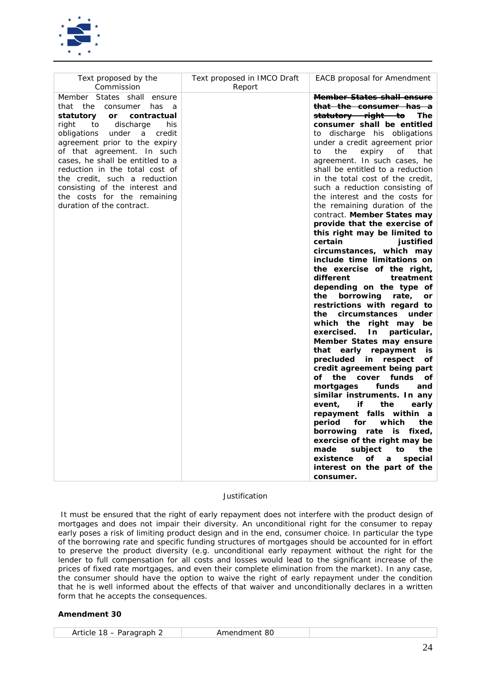

| Text proposed by the<br>Commission                                                                                                                                                                                                                                                                                                                                                                                                            | Text proposed in IMCO Draft<br>Report | <b>EACB</b> proposal for Amendment                                                                                                                                                                                                                                                                                                                                                                                                                                                                                                                                                                                                                                                                                                                                                                                                                                                                                                                                                                                                                                                                                                                                                                                                                                                                                                                                                                                                 |
|-----------------------------------------------------------------------------------------------------------------------------------------------------------------------------------------------------------------------------------------------------------------------------------------------------------------------------------------------------------------------------------------------------------------------------------------------|---------------------------------------|------------------------------------------------------------------------------------------------------------------------------------------------------------------------------------------------------------------------------------------------------------------------------------------------------------------------------------------------------------------------------------------------------------------------------------------------------------------------------------------------------------------------------------------------------------------------------------------------------------------------------------------------------------------------------------------------------------------------------------------------------------------------------------------------------------------------------------------------------------------------------------------------------------------------------------------------------------------------------------------------------------------------------------------------------------------------------------------------------------------------------------------------------------------------------------------------------------------------------------------------------------------------------------------------------------------------------------------------------------------------------------------------------------------------------------|
| Member States shall ensure<br>that<br>the consumer<br>has<br>a<br>statutory<br>or<br>contractual<br>right<br>discharge<br>his<br>to<br>obligations<br>under<br>credit<br>a<br>agreement prior to the expiry<br>of that agreement. In such<br>cases, he shall be entitled to a<br>reduction in the total cost of<br>the credit, such a reduction<br>consisting of the interest and<br>the costs for the remaining<br>duration of the contract. |                                       | <b>Member States shall ensure</b><br><del>that the consumer has a</del><br><del>statutory right to</del><br>The<br>consumer shall be entitled<br>to discharge his obligations<br>under a credit agreement prior<br>the<br>expiry<br>that<br>to<br>of<br>agreement. In such cases, he<br>shall be entitled to a reduction<br>in the total cost of the credit,<br>such a reduction consisting of<br>the interest and the costs for<br>the remaining duration of the<br>contract. Member States may<br>provide that the exercise of<br>this right may be limited to<br>certain<br>justified<br>circumstances, which may<br>include time limitations on<br>the exercise of the right,<br>different<br>treatment<br>depending on the type of<br>borrowing<br>rate,<br>the<br>or<br>restrictions with regard to<br>circumstances<br>the<br>under<br>which the right may be<br>particular,<br>exercised.<br>In<br>Member States may ensure<br>that early repayment<br>is<br>precluded<br>respect<br>in<br>οf<br>credit agreement being part<br>of<br>the<br>cover<br>funds<br>οf<br>funds<br>mortgages<br>and<br>similar instruments. In any<br>event,<br>if<br>the<br>early<br>repayment falls<br>within<br>$\boldsymbol{a}$<br>period<br>which<br>the<br>for<br>borrowing rate is fixed,<br>exercise of the right may be<br>made<br>subject<br>to<br>the<br>existence<br>of<br>special<br>a<br>interest on the part of the<br>consumer. |

*It must be ensured that the right of early repayment does not interfere with the product design of mortgages and does not impair their diversity. An unconditional right for the consumer to repay early poses a risk of limiting product design and in the end, consumer choice. In particular the type of the borrowing rate and specific funding structures of mortgages should be accounted for in effort to preserve the product diversity (e.g. unconditional early repayment without the right for the lender to full compensation for all costs and losses would lead to the significant increase of the prices of fixed rate mortgages, and even their complete elimination from the market). In any case, the consumer should have the option to waive the right of early repayment under the condition that he is well informed about the effects of that waiver and unconditionally declares in a written form that he accepts the consequences.*

| Article<br><i>Amendment 80</i><br>$\cdot$ 18 – Paragraph z |
|------------------------------------------------------------|
|------------------------------------------------------------|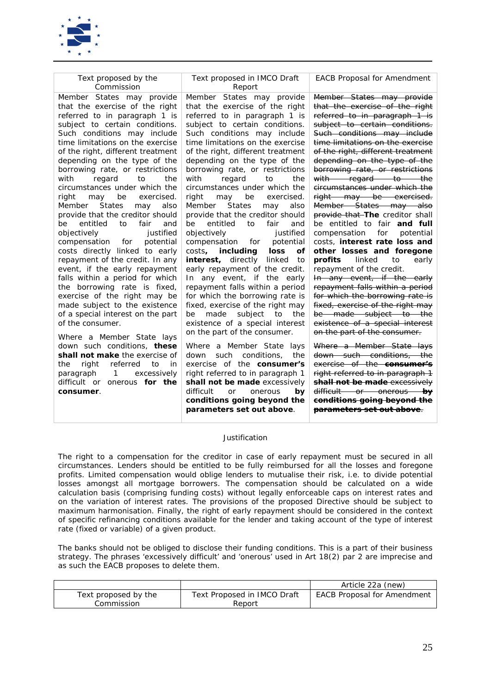

| Text proposed by the<br>Commission                                  | Text proposed in IMCO Draft<br>Report                                   | <b>EACB Proposal for Amendment</b>                                       |
|---------------------------------------------------------------------|-------------------------------------------------------------------------|--------------------------------------------------------------------------|
| Member States may provide                                           | Member States may provide                                               | Member States may provide                                                |
| that the exercise of the right                                      | that the exercise of the right                                          | that the exercise of the right                                           |
| referred to in paragraph 1 is                                       | referred to in paragraph 1 is                                           | referred to in paragraph 1 is                                            |
| subject to certain conditions.                                      | subject to certain conditions.                                          | subject to certain conditions.                                           |
| Such conditions may include                                         | Such conditions may include                                             | Such conditions may include                                              |
| time limitations on the exercise                                    | time limitations on the exercise                                        | time limitations on the exercise                                         |
| of the right, different treatment                                   | of the right, different treatment                                       | of the right, different treatment                                        |
| depending on the type of the                                        | depending on the type of the                                            | depending on the type of the                                             |
| borrowing rate, or restrictions                                     | borrowing rate, or restrictions                                         | borrowing rate, or restrictions                                          |
| with<br>regard<br>to<br>the                                         | with<br>regard<br>to<br>the                                             | with regard to the                                                       |
| circumstances under which the                                       | circumstances under which the                                           | circumstances under which the                                            |
| may<br>be<br>exercised.<br>right                                    | right<br>be<br>exercised.<br>may                                        | right may be exercised.                                                  |
| <b>States</b><br>Member<br>also<br>may                              | <b>Member</b><br><b>States</b><br>may<br>also                           | Member States may also                                                   |
| provide that the creditor should                                    | provide that the creditor should                                        | provide that The creditor shall                                          |
| entitled<br>to<br>fair<br>be<br>and                                 | entitled<br>to<br>fair<br>be<br>and                                     | be entitled to fair and full                                             |
| justified<br>objectively                                            | objectively<br>justified<br>potential<br>for                            | compensation<br>for<br>potential<br>costs, <b>interest rate loss and</b> |
| compensation for<br>potential<br>costs directly linked to early     | compensation<br>costs,<br>including<br>loss<br>οf                       | other losses and foregone                                                |
| repayment of the credit. In any                                     | <i>interest</i> , directly<br>linked<br>to                              | linked<br>early<br>profits<br>to                                         |
| event, if the early repayment                                       | early repayment of the credit.                                          | repayment of the credit.                                                 |
| falls within a period for which                                     | In any event, if the early                                              | In any event, if the early                                               |
| the borrowing rate is fixed,                                        | repayment falls within a period                                         | repayment falls within a period                                          |
| exercise of the right may be                                        | for which the borrowing rate is                                         | for which the borrowing rate is                                          |
| made subject to the existence                                       | fixed, exercise of the right may                                        | fixed, exercise of the right may                                         |
| of a special interest on the part                                   | subject<br>be<br>made<br>to<br>the                                      | be made subject to the                                                   |
| of the consumer.                                                    | existence of a special interest                                         | existence of a special interest                                          |
|                                                                     | on the part of the consumer.                                            | on the part of the consumer.                                             |
| Where a Member State lays                                           |                                                                         |                                                                          |
| down such conditions, these<br>shall not make the exercise of       | Where a Member State lays                                               | Where a Member State lays                                                |
|                                                                     | such<br>conditions.<br>down<br>the<br>exercise of the <b>consumer's</b> | down such conditions, the<br>exercise of the <b>consumer's</b>           |
| right<br>referred<br>the<br>in<br>to<br>$\mathbf{1}$<br>excessively | right referred to in paragraph 1                                        | right referred to in paragraph 1                                         |
| paragraph<br>difficult or onerous for the                           | shall not be made excessively                                           | shall not be made excessively                                            |
| consumer.                                                           | difficult<br><sub>or</sub><br>onerous<br>by                             | difficult or onerous by                                                  |
|                                                                     | conditions going beyond the                                             | conditions going beyond the                                              |
|                                                                     | parameters set out above.                                               | <del>parameters set out above.</del>                                     |

The right to a compensation for the creditor in case of early repayment must be secured in all *circumstances. Lenders should be entitled to be fully reimbursed for all the losses and foregone profits. Limited compensation would oblige lenders to mutualise their risk, i.e. to divide potential losses amongst all mortgage borrowers. The compensation should be calculated on a wide calculation basis (comprising funding costs) without legally enforceable caps on interest rates and on the variation of interest rates. The provisions of the proposed Directive should be subject to maximum harmonisation. Finally, the right of early repayment should be considered in the context of specific refinancing conditions available for the lender and taking account of the type of interest rate (fixed or variable) of a given product.* 

*The banks should not be obliged to disclose their funding conditions. This is a part of their business strategy. The phrases 'excessively difficult' and 'onerous' used in Art 18(2) par 2 are imprecise and as such the EACB proposes to delete them.*

|                      |                             | Article 22a (new)                  |
|----------------------|-----------------------------|------------------------------------|
| Text proposed by the | Text Proposed in IMCO Draft | <b>EACB Proposal for Amendment</b> |
| Commission           | <i>Report</i>               |                                    |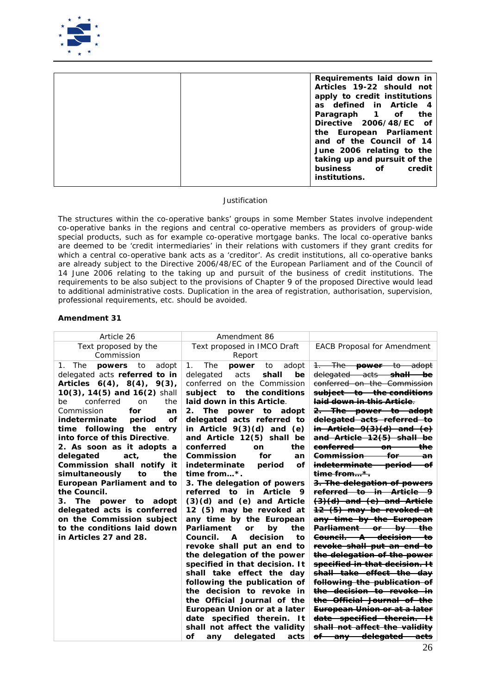

| Requirements laid down in    |
|------------------------------|
| Articles 19-22 should not    |
| apply to credit institutions |
| as defined in Article 4      |
| Paragraph 1 of the           |
| Directive 2006/48/EC of      |
| the European Parliament      |
| and of the Council of 14     |
| June 2006 relating to the    |
| taking up and pursuit of the |
| business of credit           |
| <i>institutions.</i>         |
|                              |

*The structures within the co-operative banks' groups in some Member States involve independent co-operative banks in the regions and central co-operative members as providers of group-wide special products, such as for example co-operative mortgage banks. The local co-operative banks are deemed to be 'credit intermediaries' in their relations with customers if they grant credits for which a central co-operative bank acts as a 'creditor'. As credit institutions, all co-operative banks are already subject to the Directive 2006/48/EC of the European Parliament and of the Council of 14 June 2006 relating to the taking up and pursuit of the business of credit institutions. The requirements to be also subject to the provisions of Chapter 9 of the proposed Directive would lead to additional administrative costs. Duplication in the area of registration, authorisation, supervision, professional requirements, etc. should be avoided.*

| Article 26                                                                                                                                                                                                                                                                                                                                                                                                                                                                                                                                                                                                                             | Amendment 86                                                                                                                                                                                                                                                                                                                                                                                                                                                                                                                                                                                                                                                                                                                                                                                                                                                                                                                                                                                                           |                                                                                                                                                                                                                                                                                                                                                                                                                                                                                                                                                                                                                                                                                                                                                                                                                                                                                                                                                                                                                                                                                                                                        |
|----------------------------------------------------------------------------------------------------------------------------------------------------------------------------------------------------------------------------------------------------------------------------------------------------------------------------------------------------------------------------------------------------------------------------------------------------------------------------------------------------------------------------------------------------------------------------------------------------------------------------------------|------------------------------------------------------------------------------------------------------------------------------------------------------------------------------------------------------------------------------------------------------------------------------------------------------------------------------------------------------------------------------------------------------------------------------------------------------------------------------------------------------------------------------------------------------------------------------------------------------------------------------------------------------------------------------------------------------------------------------------------------------------------------------------------------------------------------------------------------------------------------------------------------------------------------------------------------------------------------------------------------------------------------|----------------------------------------------------------------------------------------------------------------------------------------------------------------------------------------------------------------------------------------------------------------------------------------------------------------------------------------------------------------------------------------------------------------------------------------------------------------------------------------------------------------------------------------------------------------------------------------------------------------------------------------------------------------------------------------------------------------------------------------------------------------------------------------------------------------------------------------------------------------------------------------------------------------------------------------------------------------------------------------------------------------------------------------------------------------------------------------------------------------------------------------|
| Text proposed by the<br>Commission                                                                                                                                                                                                                                                                                                                                                                                                                                                                                                                                                                                                     | Text proposed in IMCO Draft<br>Report                                                                                                                                                                                                                                                                                                                                                                                                                                                                                                                                                                                                                                                                                                                                                                                                                                                                                                                                                                                  | <b>EACB Proposal for Amendment</b>                                                                                                                                                                                                                                                                                                                                                                                                                                                                                                                                                                                                                                                                                                                                                                                                                                                                                                                                                                                                                                                                                                     |
| 1. The<br>powers<br>to<br>adopt<br>delegated acts referred to in<br>Articles $6(4)$ , $8(4)$ , $9(3)$ ,<br>$10(3)$ , $14(5)$ and $16(2)$ shall<br>conferred<br>on<br>the<br>be<br>Commission<br>for<br>an<br>indeterminate<br>period<br>οf<br>time following the<br>entry<br>into force of this Directive.<br>2. As soon as it adopts a<br>delegated<br>act,<br>the<br>Commission shall notify it<br>simultaneously<br>the<br>to<br><b>European Parliament and to</b><br>the Council.<br>3.<br>The power to adopt<br>delegated acts is conferred<br>on the Commission subject<br>to the conditions laid down<br>in Articles 27 and 28. | The<br>1.<br>power<br>to<br>adopt<br>acts<br>shall<br>delegated<br>be<br>conferred on the Commission<br>subject<br>the conditions<br>to<br>laid down in this Article.<br>2.<br>The power to adopt<br>delegated acts referred to<br>in Article $9(3)(d)$ and (e)<br>and Article 12(5) shall be<br>conferred<br>the<br><b>on</b><br>Commission<br>for<br>an<br>indeterminate<br>οf<br>period<br>time from $\ldots$ *.<br>3. The delegation of powers<br>referred<br>to<br>Article<br>in<br>9<br>$(3)(d)$ and $(e)$ and Article<br>12 (5) may be revoked at<br>any time by the European<br>Parliament<br>by<br>the<br>or<br>Council.<br>decision<br>A<br>to<br>revoke shall put an end to<br>the delegation of the power<br>specified in that decision. It<br>shall take effect the day<br>following the publication of<br>the decision to revoke in<br>the Official Journal of the<br>European Union or at a later<br>date specified therein.<br>- It<br>shall not affect the validity<br>οf<br>delegated<br>acts<br>any | 1. The <b>power</b> to adopt<br>delegated acts shall<br>bе<br>conferred on the Commission<br>subject to the conditions<br><del>laid down in this Article.</del><br><del>2. The power to adopt</del><br>delegated acts referred to<br>in Article $9(3)(d)$ and $(e)$<br>and Article 12(5) shall be<br><del>conferred</del><br>the<br>on<br><del>Commission-</del><br>for<br>an<br><del>indeterminate period of</del><br><del>time from*.</del><br>3. The delegation of powers<br><del>referred to in Article 9</del><br><del>(3)(d) and (e) and Article</del><br>12 (5) may be revoked at<br>any time by the European<br>Parliament or by the<br><del>Council. A decision to</del><br><del>revoke shall put an end to</del><br>the delegation of the power<br>specified in that decision. It<br>shall take effect the day<br>following the publication of<br><del>the decision to revoke</del><br><del>the Official Journal of the</del><br><del>European Union or at a later</del><br>date specified therein. It<br><del>shall not affect the validitv</del><br>of⊢<br><del>delegated -</del><br><del>—anv —</del><br><del>-acts</del> |
|                                                                                                                                                                                                                                                                                                                                                                                                                                                                                                                                                                                                                                        |                                                                                                                                                                                                                                                                                                                                                                                                                                                                                                                                                                                                                                                                                                                                                                                                                                                                                                                                                                                                                        |                                                                                                                                                                                                                                                                                                                                                                                                                                                                                                                                                                                                                                                                                                                                                                                                                                                                                                                                                                                                                                                                                                                                        |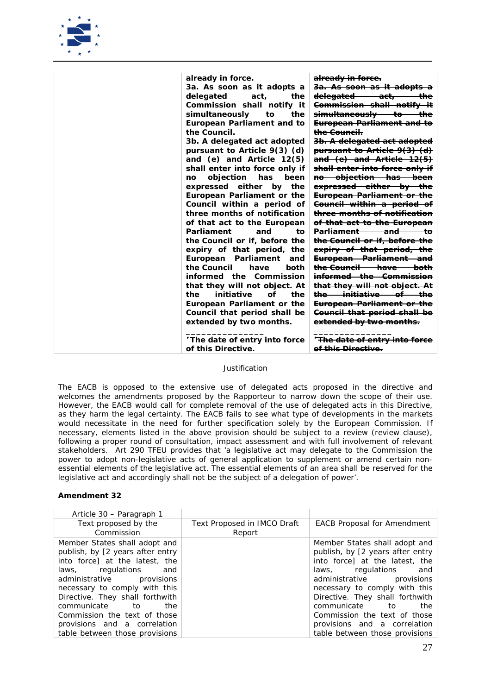

| already in force.                 | <del>already in force.</del>                     |
|-----------------------------------|--------------------------------------------------|
| 3a. As soon as it adopts a        | <del>3a. As soon as it adopts a</del>            |
| delegated<br>act,<br>the          | <del>delegated act,</del><br>the                 |
| Commission shall notify it        | <del>Commission shall notify it</del>            |
| simultaneously<br>to<br>the       | simultaneously to<br>ŧ <del>h</del> е            |
| <b>European Parliament and to</b> | <del>European Parliament and to</del>            |
| the Council.                      | <del>the Council.</del>                          |
| 3b. A delegated act adopted       | 3b. A delegated act adopted                      |
| pursuant to Article $9(3)$ (d)    | <del>pursuant to Article 9(3) (d)</del>          |
| and $(e)$ and Article $12(5)$     | and (e) and Article 12(5)                        |
| shall enter into force only if    | <del>shall enter into force only if</del>        |
| objection<br>has<br>been<br>no    | no objection has been                            |
| expressed either by the           | expressed either by the                          |
| European Parliament or the        | <b>European Parliament or the</b>                |
| Council within a period of        | <del>Council within a period of</del>            |
| three months of notification      | three months of notification                     |
| of that act to the European       | <del>of that act to the European</del>           |
| Parliament<br>and<br>to           | <b>Parliament</b><br><del>and and</del><br>tΘ    |
| the Council or if, before the     | the Council or if, before the                    |
| expiry of that period, the        | expiry of that period, the                       |
| European Parliament<br>and        | European Parliament and                          |
| the Council<br>have<br>both       | <del>the Council — have</del><br><del>both</del> |
| informed the Commission           | <del>informed the Commission</del>               |
| that they will not object. At     | that they will not object. At                    |
| initiative<br>Ωf<br>the<br>the    | <del>the initiative of</del>                     |
| European Parliament or the        | <b>European Parliament or the</b>                |
| Council that period shall be      | <b>Council that period shall be</b>              |
| extended by two months.           | <del>extended by two months.</del>               |
|                                   |                                                  |
| The date of entry into force      | * <del>The date of entry into fo</del>           |
| of this Directive.                | <del>of this Directive.</del>                    |
|                                   |                                                  |

*The EACB is opposed to the extensive use of delegated acts proposed in the directive and welcomes the amendments proposed by the Rapporteur to narrow down the scope of their use. However, the EACB would call for complete removal of the use of delegated acts in this Directive, as they harm the legal certainty. The EACB fails to see what type of developments in the markets would necessitate in the need for further specification solely by the European Commission. If necessary, elements listed in the above provision should be subject to a review (review clause), following a proper round of consultation, impact assessment and with full involvement of relevant stakeholders. Art 290 TFEU provides that 'a legislative act may delegate to the Commission the power to adopt non-legislative acts of general application to supplement or amend certain nonessential elements of the legislative act. The essential elements of an area shall be reserved for the*  legislative act and accordingly shall not be the subject of a delegation of power'.

| Article 30 - Paragraph 1         |                             |                                    |
|----------------------------------|-----------------------------|------------------------------------|
| Text proposed by the             | Text Proposed in IMCO Draft | <b>EACB Proposal for Amendment</b> |
| Commission                       | Report                      |                                    |
| Member States shall adopt and    |                             | Member States shall adopt and      |
| publish, by [2 years after entry |                             | publish, by [2 years after entry   |
| into force] at the latest, the   |                             | into force] at the latest, the     |
| laws, regulations<br>and         |                             | laws, regulations and              |
| administrative provisions        |                             | administrative provisions          |
| necessary to comply with this    |                             | necessary to comply with this      |
| Directive. They shall forthwith  |                             | Directive. They shall forthwith    |
| communicate to<br>the            |                             | communicate to<br>the              |
| Commission the text of those     |                             | Commission the text of those       |
| provisions and a correlation     |                             | provisions and a correlation       |
| table between those provisions   |                             | table between those provisions     |